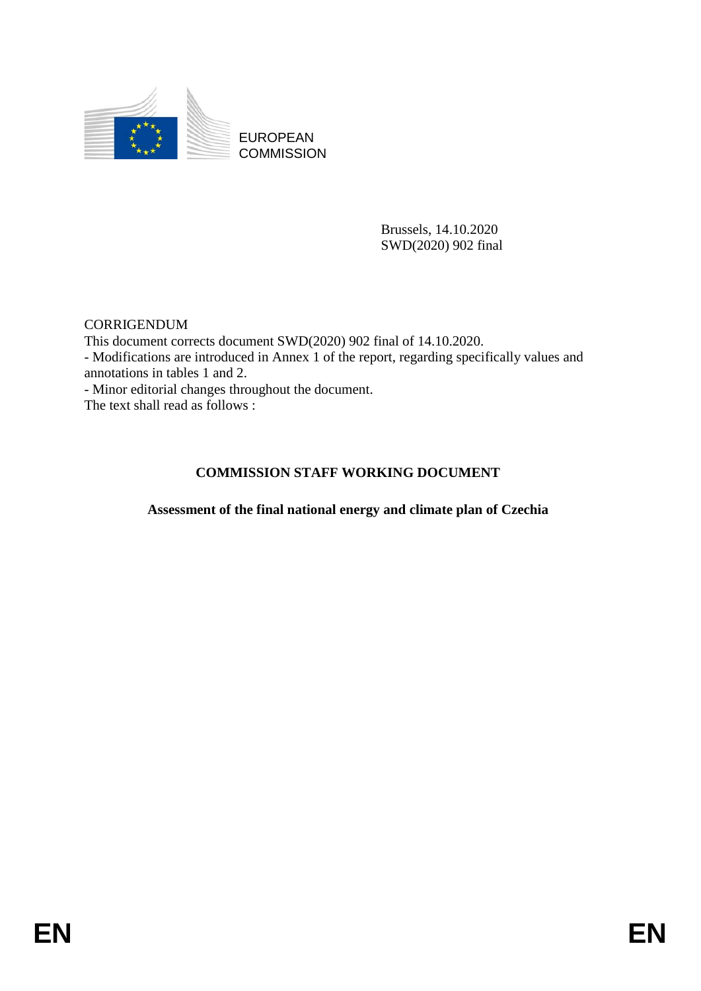

EUROPEAN **COMMISSION** 

> Brussels, 14.10.2020 SWD(2020) 902 final

**CORRIGENDUM** This document corrects document SWD(2020) 902 final of 14.10.2020. - Modifications are introduced in Annex 1 of the report, regarding specifically values and annotations in tables 1 and 2. - Minor editorial changes throughout the document. The text shall read as follows :

### **COMMISSION STAFF WORKING DOCUMENT**

**Assessment of the final national energy and climate plan of Czechia**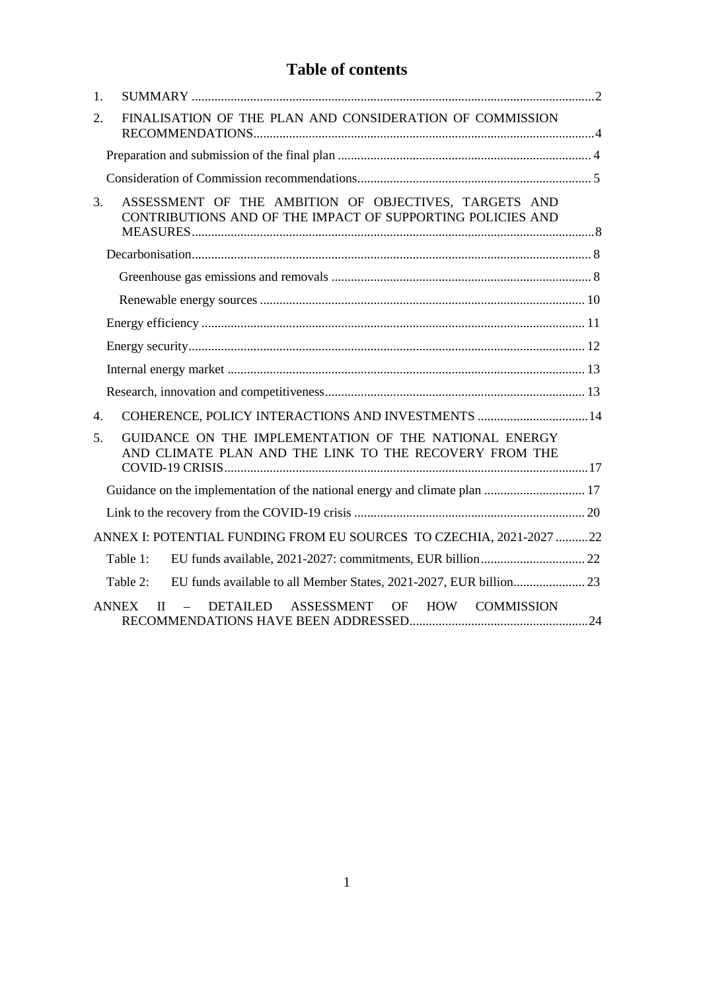## **Table of contents**

| 1.               |                                                                                                                     |  |
|------------------|---------------------------------------------------------------------------------------------------------------------|--|
| 2.               | FINALISATION OF THE PLAN AND CONSIDERATION OF COMMISSION                                                            |  |
|                  |                                                                                                                     |  |
|                  |                                                                                                                     |  |
| 3.               | ASSESSMENT OF THE AMBITION OF OBJECTIVES, TARGETS AND<br>CONTRIBUTIONS AND OF THE IMPACT OF SUPPORTING POLICIES AND |  |
|                  |                                                                                                                     |  |
|                  |                                                                                                                     |  |
|                  |                                                                                                                     |  |
|                  |                                                                                                                     |  |
|                  |                                                                                                                     |  |
|                  |                                                                                                                     |  |
|                  |                                                                                                                     |  |
| $\overline{4}$ . | COHERENCE, POLICY INTERACTIONS AND INVESTMENTS  14                                                                  |  |
| 5.               | GUIDANCE ON THE IMPLEMENTATION OF THE NATIONAL ENERGY<br>AND CLIMATE PLAN AND THE LINK TO THE RECOVERY FROM THE     |  |
|                  |                                                                                                                     |  |
|                  |                                                                                                                     |  |
|                  |                                                                                                                     |  |
|                  | ANNEX I: POTENTIAL FUNDING FROM EU SOURCES TO CZECHIA, 2021-2027 22                                                 |  |
|                  | Table 1:                                                                                                            |  |
|                  | Table 2:                                                                                                            |  |
|                  | ASSESSMENT<br>OF HOW COMMISSION<br><b>ANNEX</b><br>DETAILED<br>$\mathbf{H}$<br>$\equiv$                             |  |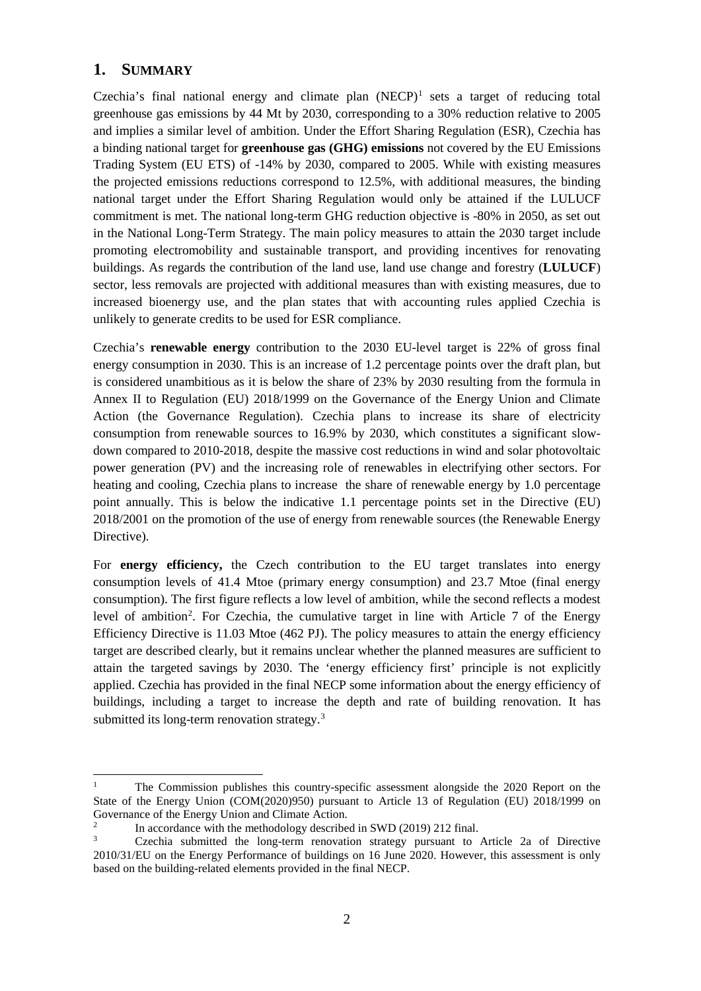### <span id="page-2-0"></span>**1. SUMMARY**

Czechia's final national energy and climate plan  $(NECP)^1$  $(NECP)^1$  sets a target of reducing total greenhouse gas emissions by 44 Mt by 2030, corresponding to a 30% reduction relative to 2005 and implies a similar level of ambition. Under the Effort Sharing Regulation (ESR), Czechia has a binding national target for **greenhouse gas (GHG) emissions** not covered by the EU Emissions Trading System (EU ETS) of -14% by 2030, compared to 2005. While with existing measures the projected emissions reductions correspond to 12.5%, with additional measures, the binding national target under the Effort Sharing Regulation would only be attained if the LULUCF commitment is met. The national long-term GHG reduction objective is -80% in 2050, as set out in the National Long-Term Strategy. The main policy measures to attain the 2030 target include promoting electromobility and sustainable transport, and providing incentives for renovating buildings. As regards the contribution of the land use, land use change and forestry (**LULUCF**) sector, less removals are projected with additional measures than with existing measures, due to increased bioenergy use, and the plan states that with accounting rules applied Czechia is unlikely to generate credits to be used for ESR compliance.

Czechia's **renewable energy** contribution to the 2030 EU-level target is 22% of gross final energy consumption in 2030. This is an increase of 1.2 percentage points over the draft plan, but is considered unambitious as it is below the share of 23% by 2030 resulting from the formula in Annex II to Regulation (EU) 2018/1999 on the Governance of the Energy Union and Climate Action (the Governance Regulation). Czechia plans to increase its share of electricity consumption from renewable sources to 16.9% by 2030, which constitutes a significant slowdown compared to 2010-2018, despite the massive cost reductions in wind and solar photovoltaic power generation (PV) and the increasing role of renewables in electrifying other sectors. For heating and cooling, Czechia plans to increase the share of renewable energy by 1.0 percentage point annually. This is below the indicative 1.1 percentage points set in the Directive (EU) 2018/2001 on the promotion of the use of energy from renewable sources (the Renewable Energy Directive).

For **energy efficiency,** the Czech contribution to the EU target translates into energy consumption levels of 41.4 Mtoe (primary energy consumption) and 23.7 Mtoe (final energy consumption). The first figure reflects a low level of ambition, while the second reflects a modest level of ambition<sup>[2](#page-2-2)</sup>. For Czechia, the cumulative target in line with Article 7 of the Energy Efficiency Directive is 11.03 Mtoe (462 PJ). The policy measures to attain the energy efficiency target are described clearly, but it remains unclear whether the planned measures are sufficient to attain the targeted savings by 2030. The 'energy efficiency first' principle is not explicitly applied. Czechia has provided in the final NECP some information about the energy efficiency of buildings, including a target to increase the depth and rate of building renovation. It has submitted its long-term renovation strategy.<sup>[3](#page-2-3)</sup>

<span id="page-2-1"></span> $\mathbf{1}$ <sup>1</sup> The Commission publishes this country-specific assessment alongside the 2020 Report on the State of the Energy Union (COM(2020)950) pursuant to Article 13 of Regulation (EU) 2018/1999 on Governance of the Energy Union and Climate Action.

<span id="page-2-2"></span> $\frac{2}{3}$  In accordance with the methodology described in SWD (2019) 212 final.

<span id="page-2-3"></span><sup>3</sup> Czechia submitted the long-term renovation strategy pursuant to Article 2a of Directive 2010/31/EU on the Energy Performance of buildings on 16 June 2020. However, this assessment is only based on the building-related elements provided in the final NECP.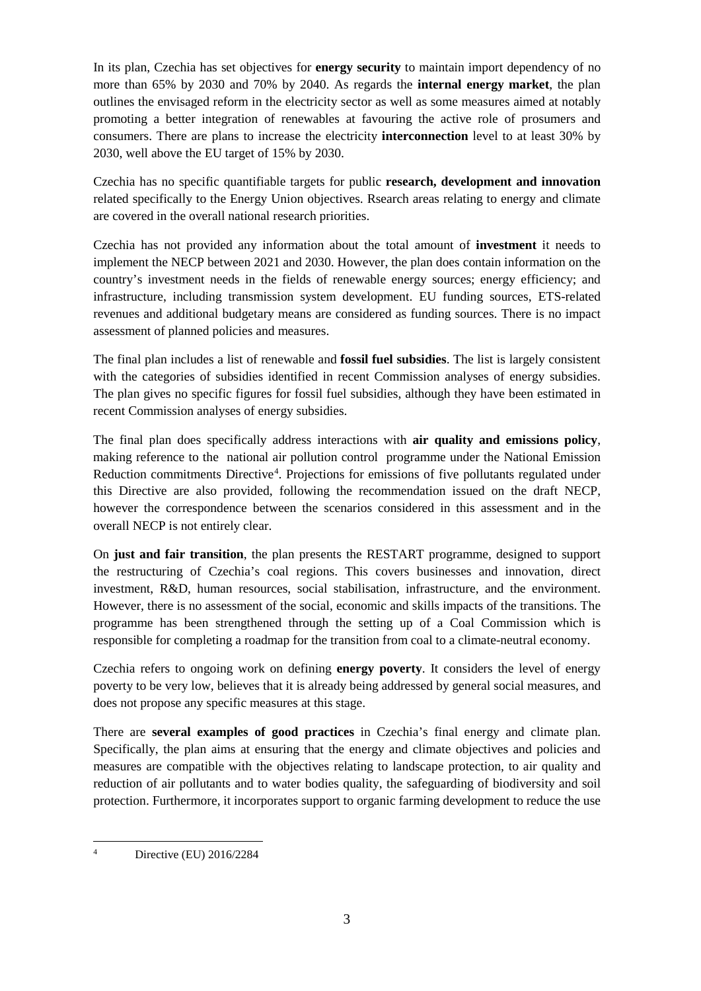In its plan, Czechia has set objectives for **energy security** to maintain import dependency of no more than 65% by 2030 and 70% by 2040. As regards the **internal energy market**, the plan outlines the envisaged reform in the electricity sector as well as some measures aimed at notably promoting a better integration of renewables at favouring the active role of prosumers and consumers. There are plans to increase the electricity **interconnection** level to at least 30% by 2030, well above the EU target of 15% by 2030.

Czechia has no specific quantifiable targets for public **research, development and innovation** related specifically to the Energy Union objectives. Rsearch areas relating to energy and climate are covered in the overall national research priorities.

Czechia has not provided any information about the total amount of **investment** it needs to implement the NECP between 2021 and 2030. However, the plan does contain information on the country's investment needs in the fields of renewable energy sources; energy efficiency; and infrastructure, including transmission system development. EU funding sources, ETS-related revenues and additional budgetary means are considered as funding sources. There is no impact assessment of planned policies and measures.

The final plan includes a list of renewable and **fossil fuel subsidies**. The list is largely consistent with the categories of subsidies identified in recent Commission analyses of energy subsidies. The plan gives no specific figures for fossil fuel subsidies, although they have been estimated in recent Commission analyses of energy subsidies.

The final plan does specifically address interactions with **air quality and emissions policy**, making reference to the national air pollution control programme under the National Emission Reduction commitments Directive<sup>[4](#page-3-0)</sup>. Projections for emissions of five pollutants regulated under this Directive are also provided, following the recommendation issued on the draft NECP, however the correspondence between the scenarios considered in this assessment and in the overall NECP is not entirely clear.

On **just and fair transition**, the plan presents the RESTART programme, designed to support the restructuring of Czechia's coal regions. This covers businesses and innovation, direct investment, R&D, human resources, social stabilisation, infrastructure, and the environment. However, there is no assessment of the social, economic and skills impacts of the transitions. The programme has been strengthened through the setting up of a Coal Commission which is responsible for completing a roadmap for the transition from coal to a climate-neutral economy.

Czechia refers to ongoing work on defining **energy poverty**. It considers the level of energy poverty to be very low, believes that it is already being addressed by general social measures, and does not propose any specific measures at this stage.

There are **several examples of good practices** in Czechia's final energy and climate plan. Specifically, the plan aims at ensuring that the energy and climate objectives and policies and measures are compatible with the objectives relating to landscape protection, to air quality and reduction of air pollutants and to water bodies quality, the safeguarding of biodiversity and soil protection. Furthermore, it incorporates support to organic farming development to reduce the use

<span id="page-3-0"></span> $\overline{A}$ Directive (EU) 2016/2284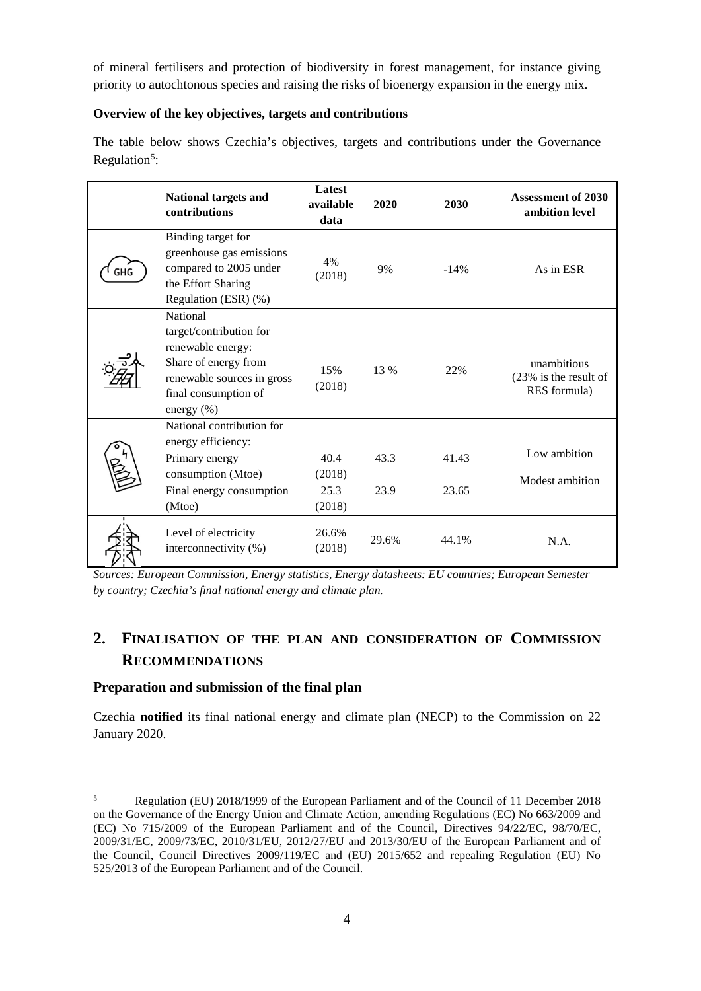of mineral fertilisers and protection of biodiversity in forest management, for instance giving priority to autochtonous species and raising the risks of bioenergy expansion in the energy mix.

#### **Overview of the key objectives, targets and contributions**

The table below shows Czechia's objectives, targets and contributions under the Governance Regulation<sup>[5](#page-4-2)</sup>:

| National targets and<br>contributions                                                                                                                   | Latest<br>available<br>data      | 2020         | 2030           | <b>Assessment of 2030</b><br>ambition level             |
|---------------------------------------------------------------------------------------------------------------------------------------------------------|----------------------------------|--------------|----------------|---------------------------------------------------------|
| Binding target for<br>greenhouse gas emissions<br>compared to 2005 under<br>the Effort Sharing<br>Regulation (ESR) (%)                                  | 4%<br>(2018)                     | 9%           | $-14%$         | As in ESR                                               |
| National<br>target/contribution for<br>renewable energy:<br>Share of energy from<br>renewable sources in gross<br>final consumption of<br>energy $(\%)$ | 15%<br>(2018)                    | 13 %         | 22%            | unambitious<br>$(23\%$ is the result of<br>RES formula) |
| National contribution for<br>energy efficiency:<br>Primary energy<br>consumption (Mtoe)<br>Final energy consumption<br>(Mtoe)                           | 40.4<br>(2018)<br>25.3<br>(2018) | 43.3<br>23.9 | 41.43<br>23.65 | Low ambition<br>Modest ambition                         |
| Level of electricity<br>interconnectivity (%)                                                                                                           | 26.6%<br>(2018)                  | 29.6%        | 44.1%          | N.A.                                                    |

*Sources: European Commission, Energy statistics, Energy datasheets: EU countries; European Semester by country; Czechia's final national energy and climate plan.*

## <span id="page-4-0"></span>**2. FINALISATION OF THE PLAN AND CONSIDERATION OF COMMISSION RECOMMENDATIONS**

#### <span id="page-4-1"></span>**Preparation and submission of the final plan**

Czechia **notified** its final national energy and climate plan (NECP) to the Commission on 22 January 2020.

<span id="page-4-2"></span> $\overline{\phantom{0}}$ <sup>5</sup> Regulation (EU) 2018/1999 of the European Parliament and of the Council of 11 December 2018 on the Governance of the Energy Union and Climate Action, amending Regulations (EC) No 663/2009 and (EC) No 715/2009 of the European Parliament and of the Council, Directives 94/22/EC, 98/70/EC, 2009/31/EC, 2009/73/EC, 2010/31/EU, 2012/27/EU and 2013/30/EU of the European Parliament and of the Council, Council Directives 2009/119/EC and (EU) 2015/652 and repealing Regulation (EU) No 525/2013 of the European Parliament and of the Council.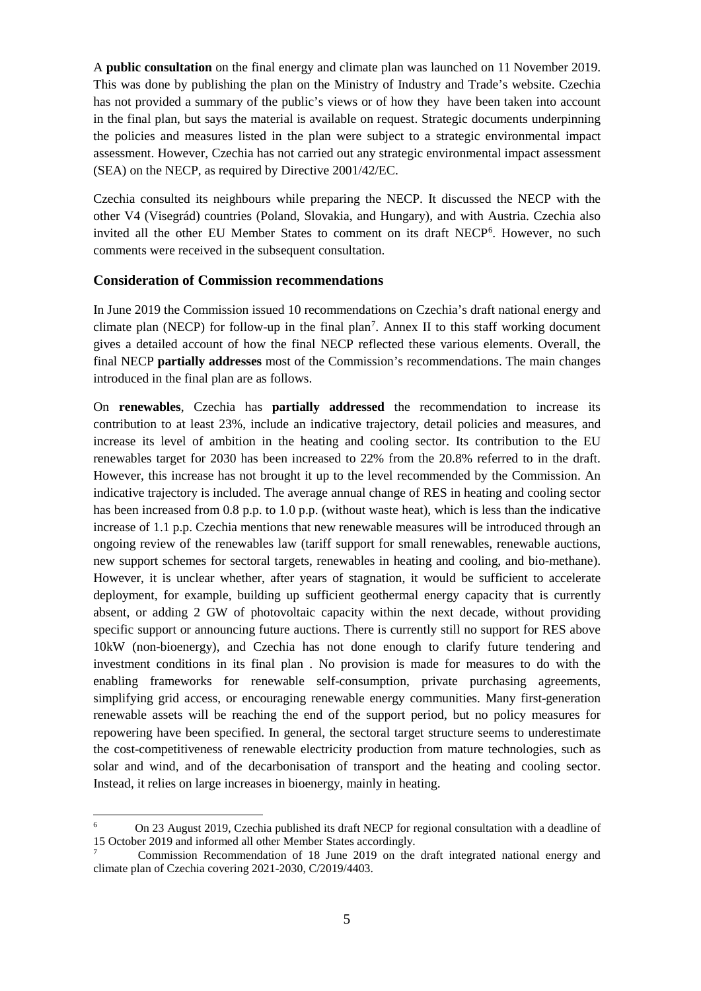A **public consultation** on the final energy and climate plan was launched on 11 November 2019. This was done by publishing the plan on the Ministry of Industry and Trade's website. Czechia has not provided a summary of the public's views or of how they have been taken into account in the final plan, but says the material is available on request. Strategic documents underpinning the policies and measures listed in the plan were subject to a strategic environmental impact assessment. However, Czechia has not carried out any strategic environmental impact assessment (SEA) on the NECP, as required by Directive 2001/42/EC.

Czechia consulted its neighbours while preparing the NECP. It discussed the NECP with the other V4 (Visegrád) countries (Poland, Slovakia, and Hungary), and with Austria. Czechia also invited all the other EU Member States to comment on its draft NECP<sup>[6](#page-5-1)</sup>. However, no such comments were received in the subsequent consultation.

#### <span id="page-5-0"></span>**Consideration of Commission recommendations**

In June 2019 the Commission issued 10 recommendations on Czechia's draft national energy and climate plan (NECP) for follow-up in the final plan<sup>7</sup>. Annex II to this staff working document gives a detailed account of how the final NECP reflected these various elements. Overall, the final NECP **partially addresses** most of the Commission's recommendations. The main changes introduced in the final plan are as follows.

On **renewables**, Czechia has **partially addressed** the recommendation to increase its contribution to at least 23%, include an indicative trajectory, detail policies and measures, and increase its level of ambition in the heating and cooling sector. Its contribution to the EU renewables target for 2030 has been increased to 22% from the 20.8% referred to in the draft. However, this increase has not brought it up to the level recommended by the Commission. An indicative trajectory is included. The average annual change of RES in heating and cooling sector has been increased from 0.8 p.p. to 1.0 p.p. (without waste heat), which is less than the indicative increase of 1.1 p.p. Czechia mentions that new renewable measures will be introduced through an ongoing review of the renewables law (tariff support for small renewables, renewable auctions, new support schemes for sectoral targets, renewables in heating and cooling, and bio-methane). However, it is unclear whether, after years of stagnation, it would be sufficient to accelerate deployment, for example, building up sufficient geothermal energy capacity that is currently absent, or adding 2 GW of photovoltaic capacity within the next decade, without providing specific support or announcing future auctions. There is currently still no support for RES above 10kW (non-bioenergy), and Czechia has not done enough to clarify future tendering and investment conditions in its final plan . No provision is made for measures to do with the enabling frameworks for renewable self-consumption, private purchasing agreements, simplifying grid access, or encouraging renewable energy communities. Many first-generation renewable assets will be reaching the end of the support period, but no policy measures for repowering have been specified. In general, the sectoral target structure seems to underestimate the cost-competitiveness of renewable electricity production from mature technologies, such as solar and wind, and of the decarbonisation of transport and the heating and cooling sector. Instead, it relies on large increases in bioenergy, mainly in heating.

<span id="page-5-1"></span> $6\phantom{a}$ <sup>6</sup> On 23 August 2019, Czechia [published](https://www.mpo.cz/en/energy/strategic-and-conceptual-documents/regional-consultation-of-the-national-energy-and-climate-plan-of-the-czech-republic--249111/) its draft NECP for regional consultation with a deadline of 15 October 2019 and informed all other Member States accordingly.

<span id="page-5-2"></span><sup>7</sup> Commission Recommendation of 18 June 2019 on the draft integrated national energy and climate plan of Czechia covering 2021-2030, C/2019/4403.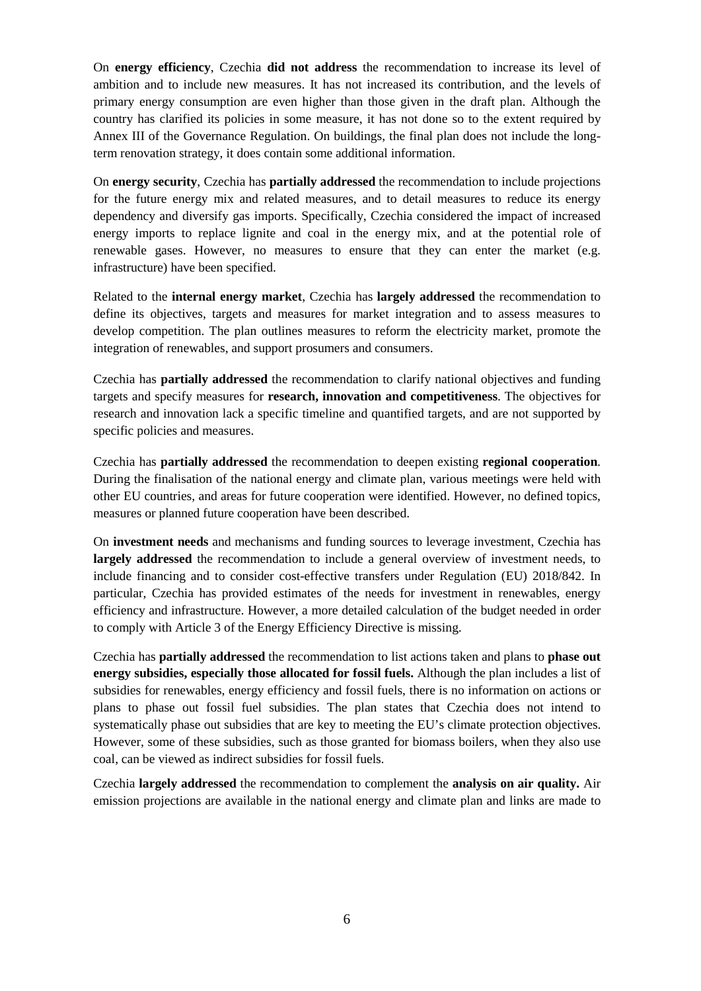On **energy efficiency**, Czechia **did not address** the recommendation to increase its level of ambition and to include new measures. It has not increased its contribution, and the levels of primary energy consumption are even higher than those given in the draft plan. Although the country has clarified its policies in some measure, it has not done so to the extent required by Annex III of the Governance Regulation. On buildings, the final plan does not include the longterm renovation strategy, it does contain some additional information.

On **energy security**, Czechia has **partially addressed** the recommendation to include projections for the future energy mix and related measures, and to detail measures to reduce its energy dependency and diversify gas imports. Specifically, Czechia considered the impact of increased energy imports to replace lignite and coal in the energy mix, and at the potential role of renewable gases. However, no measures to ensure that they can enter the market (e.g. infrastructure) have been specified.

Related to the **internal energy market**, Czechia has **largely addressed** the recommendation to define its objectives, targets and measures for market integration and to assess measures to develop competition. The plan outlines measures to reform the electricity market, promote the integration of renewables, and support prosumers and consumers.

Czechia has **partially addressed** the recommendation to clarify national objectives and funding targets and specify measures for **research, innovation and competitiveness**. The objectives for research and innovation lack a specific timeline and quantified targets, and are not supported by specific policies and measures.

Czechia has **partially addressed** the recommendation to deepen existing **regional cooperation**. During the finalisation of the national energy and climate plan, various meetings were held with other EU countries, and areas for future cooperation were identified. However, no defined topics, measures or planned future cooperation have been described.

On **investment needs** and mechanisms and funding sources to leverage investment, Czechia has **largely addressed** the recommendation to include a general overview of investment needs, to include financing and to consider cost-effective transfers under Regulation (EU) 2018/842. In particular, Czechia has provided estimates of the needs for investment in renewables, energy efficiency and infrastructure. However, a more detailed calculation of the budget needed in order to comply with Article 3 of the Energy Efficiency Directive is missing.

Czechia has **partially addressed** the recommendation to list actions taken and plans to **phase out energy subsidies, especially those allocated for fossil fuels.** Although the plan includes a list of subsidies for renewables, energy efficiency and fossil fuels, there is no information on actions or plans to phase out fossil fuel subsidies. The plan states that Czechia does not intend to systematically phase out subsidies that are key to meeting the EU's climate protection objectives. However, some of these subsidies, such as those granted for biomass boilers, when they also use coal, can be viewed as indirect subsidies for fossil fuels.

Czechia **largely addressed** the recommendation to complement the **analysis on air quality.** Air emission projections are available in the national energy and climate plan and links are made to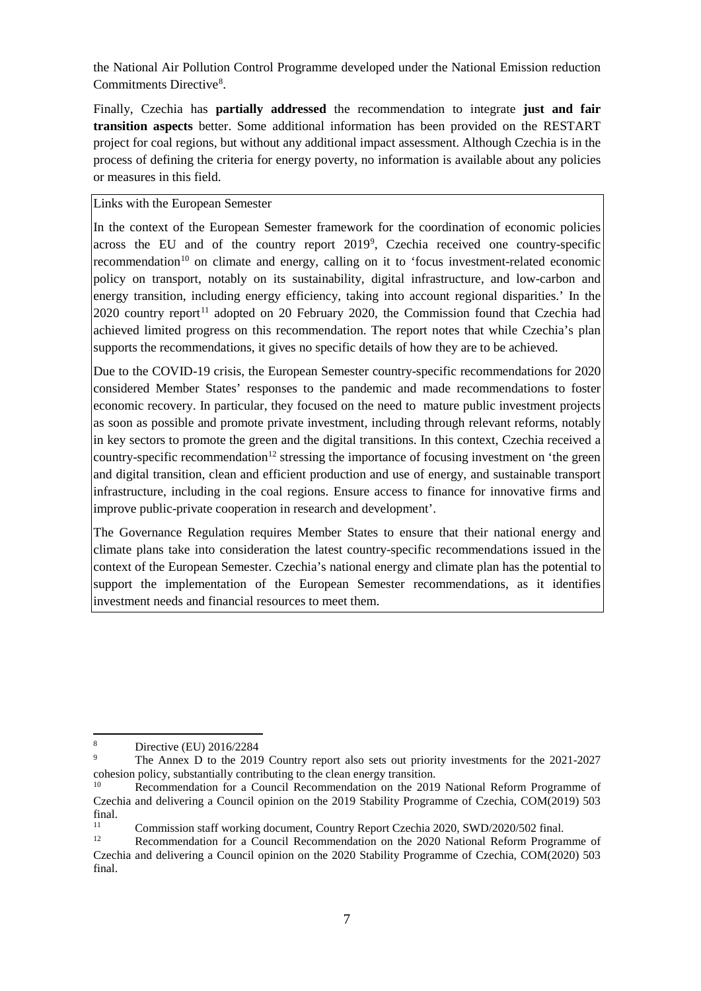the National Air Pollution Control Programme developed under the National Emission reduction Commitments Directive<sup>[8](#page-7-0)</sup>.

Finally, Czechia has **partially addressed** the recommendation to integrate **just and fair transition aspects** better. Some additional information has been provided on the RESTART project for coal regions, but without any additional impact assessment. Although Czechia is in the process of defining the criteria for energy poverty, no information is available about any policies or measures in this field.

Links with the European Semester

In the context of the European Semester framework for the coordination of economic policies across the EU and of the country report 201[9](#page-7-1)<sup>9</sup>, Czechia received one country-specific recommendation<sup>[10](#page-7-2)</sup> on climate and energy, calling on it to 'focus investment-related economic policy on transport, notably on its sustainability, digital infrastructure, and low-carbon and energy transition, including energy efficiency, taking into account regional disparities.' In the  $2020$  country report<sup>[11](#page-7-3)</sup> adopted on 20 February 2020, the Commission found that Czechia had achieved limited progress on this recommendation. The report notes that while Czechia's plan supports the recommendations, it gives no specific details of how they are to be achieved.

Due to the COVID-19 crisis, the European Semester country-specific recommendations for 2020 considered Member States' responses to the pandemic and made recommendations to foster economic recovery. In particular, they focused on the need to mature public investment projects as soon as possible and promote private investment, including through relevant reforms, notably in key sectors to promote the green and the digital transitions. In this context, Czechia received a country-specific recommendation<sup>[12](#page-7-4)</sup> stressing the importance of focusing investment on 'the green and digital transition, clean and efficient production and use of energy, and sustainable transport infrastructure, including in the coal regions. Ensure access to finance for innovative firms and improve public-private cooperation in research and development'.

The Governance Regulation requires Member States to ensure that their national energy and climate plans take into consideration the latest country-specific recommendations issued in the context of the European Semester. Czechia's national energy and climate plan has the potential to support the implementation of the European Semester recommendations, as it identifies investment needs and financial resources to meet them.

<span id="page-7-0"></span> $\bf 8$ <sup>8</sup> Directive (EU) 2016/2284

<span id="page-7-1"></span><sup>9</sup> The Annex D to the 2019 Country report also sets out priority investments for the 2021-2027 cohesion policy, substantially contributing to the clean energy transition.<br><sup>10</sup> **December 2016 Council Becommondation** on the 2016

<span id="page-7-2"></span>Recommendation for a Council Recommendation on the 2019 National Reform Programme of Czechia and delivering a Council opinion on the 2019 Stability Programme of Czechia, COM(2019) 503 final.

<span id="page-7-3"></span><sup>&</sup>lt;sup>11</sup> Commission staff working document, Country Report Czechia 2020, SWD/2020/502 final.

<span id="page-7-4"></span>Recommendation for a Council Recommendation on the 2020 National Reform Programme of Czechia and delivering a Council opinion on the 2020 Stability Programme of Czechia, COM(2020) 503 final.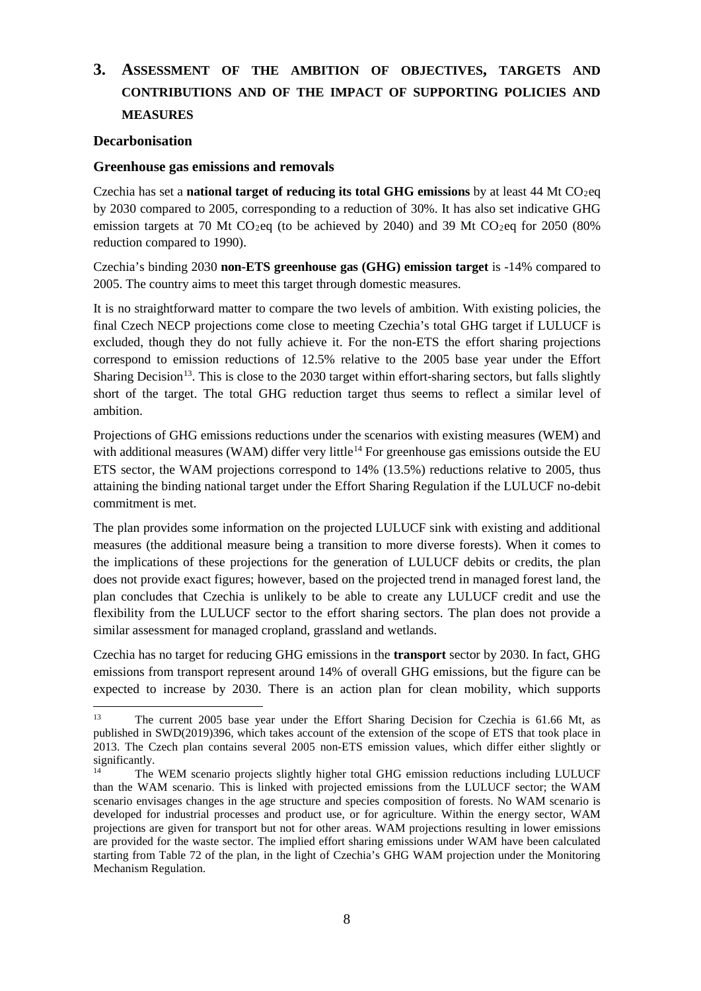## <span id="page-8-0"></span>**3. ASSESSMENT OF THE AMBITION OF OBJECTIVES, TARGETS AND CONTRIBUTIONS AND OF THE IMPACT OF SUPPORTING POLICIES AND MEASURES**

#### <span id="page-8-1"></span>**Decarbonisation**

#### <span id="page-8-2"></span>**Greenhouse gas emissions and removals**

Czechia has set a **national target of reducing its total GHG emissions** by at least 44 Mt  $CO<sub>2</sub>$ eq by 2030 compared to 2005, corresponding to a reduction of 30%. It has also set indicative GHG emission targets at 70 Mt CO<sub>2</sub>eq (to be achieved by 2040) and 39 Mt CO<sub>2</sub>eq for 2050 (80%) reduction compared to 1990).

Czechia's binding 2030 **non-ETS greenhouse gas (GHG) emission target** is -14% compared to 2005. The country aims to meet this target through domestic measures.

It is no straightforward matter to compare the two levels of ambition. With existing policies, the final Czech NECP projections come close to meeting Czechia's total GHG target if LULUCF is excluded, though they do not fully achieve it. For the non-ETS the effort sharing projections correspond to emission reductions of 12.5% relative to the 2005 base year under the Effort Sharing Decision<sup>[13](#page-8-3)</sup>. This is close to the 2030 target within effort-sharing sectors, but falls slightly short of the target. The total GHG reduction target thus seems to reflect a similar level of ambition.

Projections of GHG emissions reductions under the scenarios with existing measures (WEM) and with additional measures (WAM) differ very little<sup>[14](#page-8-4)</sup> For greenhouse gas emissions outside the EU ETS sector, the WAM projections correspond to 14% (13.5%) reductions relative to 2005, thus attaining the binding national target under the Effort Sharing Regulation if the LULUCF no-debit commitment is met.

The plan provides some information on the projected LULUCF sink with existing and additional measures (the additional measure being a transition to more diverse forests). When it comes to the implications of these projections for the generation of LULUCF debits or credits, the plan does not provide exact figures; however, based on the projected trend in managed forest land, the plan concludes that Czechia is unlikely to be able to create any LULUCF credit and use the flexibility from the LULUCF sector to the effort sharing sectors. The plan does not provide a similar assessment for managed cropland, grassland and wetlands.

Czechia has no target for reducing GHG emissions in the **transport** sector by 2030. In fact, GHG emissions from transport represent around 14% of overall GHG emissions, but the figure can be expected to increase by 2030. There is an action plan for clean mobility, which supports

<span id="page-8-3"></span> $13<sup>°</sup>$ The current 2005 base year under the Effort Sharing Decision for Czechia is 61.66 Mt, as published in SWD(2019)396, which takes account of the extension of the scope of ETS that took place in 2013. The Czech plan contains several 2005 non-ETS emission values, which differ either slightly or significantly.<br> $\frac{14}{\pi}$ 

<span id="page-8-4"></span>The WEM scenario projects slightly higher total GHG emission reductions including LULUCF than the WAM scenario. This is linked with projected emissions from the LULUCF sector; the WAM scenario envisages changes in the age structure and species composition of forests. No WAM scenario is developed for industrial processes and product use, or for agriculture. Within the energy sector, WAM projections are given for transport but not for other areas. WAM projections resulting in lower emissions are provided for the waste sector. The implied effort sharing emissions under WAM have been calculated starting from Table 72 of the plan, in the light of Czechia's GHG WAM projection under the Monitoring Mechanism Regulation.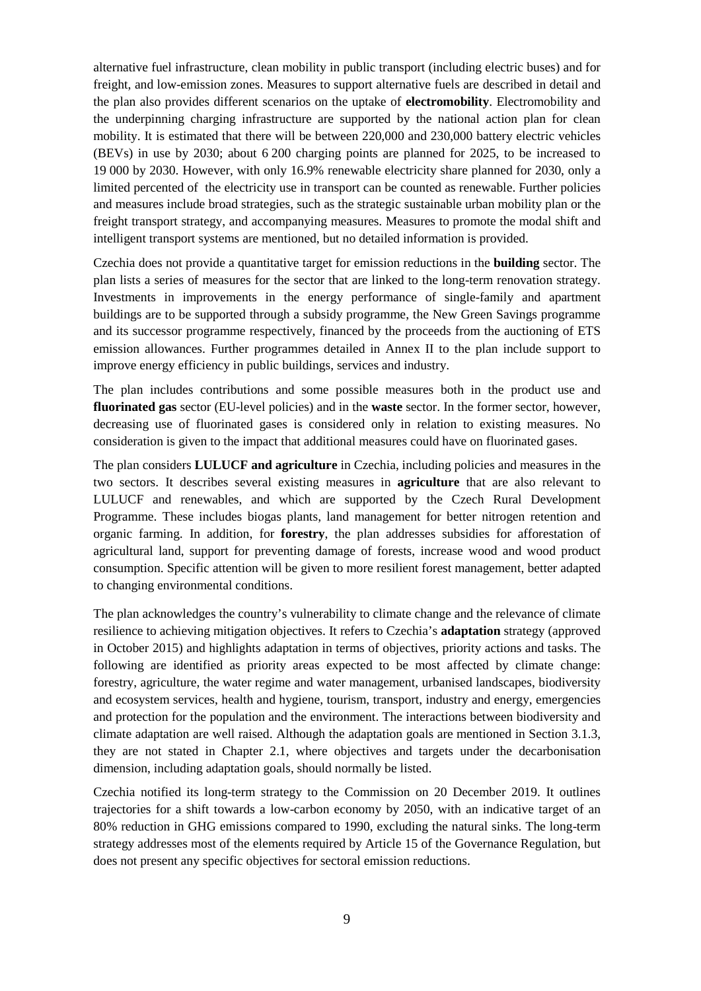alternative fuel infrastructure, clean mobility in public transport (including electric buses) and for freight, and low-emission zones. Measures to support alternative fuels are described in detail and the plan also provides different scenarios on the uptake of **electromobility**. Electromobility and the underpinning charging infrastructure are supported by the national action plan for clean mobility. It is estimated that there will be between 220,000 and 230,000 battery electric vehicles (BEVs) in use by 2030; about 6 200 charging points are planned for 2025, to be increased to 19 000 by 2030. However, with only 16.9% renewable electricity share planned for 2030, only a limited percented of the electricity use in transport can be counted as renewable. Further policies and measures include broad strategies, such as the strategic sustainable urban mobility plan or the freight transport strategy, and accompanying measures. Measures to promote the modal shift and intelligent transport systems are mentioned, but no detailed information is provided.

Czechia does not provide a quantitative target for emission reductions in the **building** sector. The plan lists a series of measures for the sector that are linked to the long-term renovation strategy. Investments in improvements in the energy performance of single-family and apartment buildings are to be supported through a subsidy programme, the New Green Savings programme and its successor programme respectively*,* financed by the proceeds from the auctioning of ETS emission allowances. Further programmes detailed in Annex II to the plan include support to improve energy efficiency in public buildings, services and industry.

The plan includes contributions and some possible measures both in the product use and **fluorinated gas** sector (EU-level policies) and in the **waste** sector. In the former sector, however, decreasing use of fluorinated gases is considered only in relation to existing measures. No consideration is given to the impact that additional measures could have on fluorinated gases.

The plan considers **LULUCF and agriculture** in Czechia, including policies and measures in the two sectors. It describes several existing measures in **agriculture** that are also relevant to LULUCF and renewables, and which are supported by the Czech Rural Development Programme. These includes biogas plants, land management for better nitrogen retention and organic farming. In addition, for **forestry**, the plan addresses subsidies for afforestation of agricultural land, support for preventing damage of forests, increase wood and wood product consumption. Specific attention will be given to more resilient forest management, better adapted to changing environmental conditions.

The plan acknowledges the country's vulnerability to climate change and the relevance of climate resilience to achieving mitigation objectives. It refers to Czechia's **adaptation** strategy (approved in October 2015) and highlights adaptation in terms of objectives, priority actions and tasks. The following are identified as priority areas expected to be most affected by climate change: forestry, agriculture, the water regime and water management, urbanised landscapes, biodiversity and ecosystem services, health and hygiene, tourism, transport, industry and energy, emergencies and protection for the population and the environment. The interactions between biodiversity and climate adaptation are well raised. Although the adaptation goals are mentioned in Section 3.1.3, they are not stated in Chapter 2.1, where objectives and targets under the decarbonisation dimension, including adaptation goals, should normally be listed.

Czechia notified its long-term strategy to the Commission on 20 December 2019. It outlines trajectories for a shift towards a low-carbon economy by 2050, with an indicative target of an 80% reduction in GHG emissions compared to 1990, excluding the natural sinks. The long-term strategy addresses most of the elements required by Article 15 of the Governance Regulation, but does not present any specific objectives for sectoral emission reductions.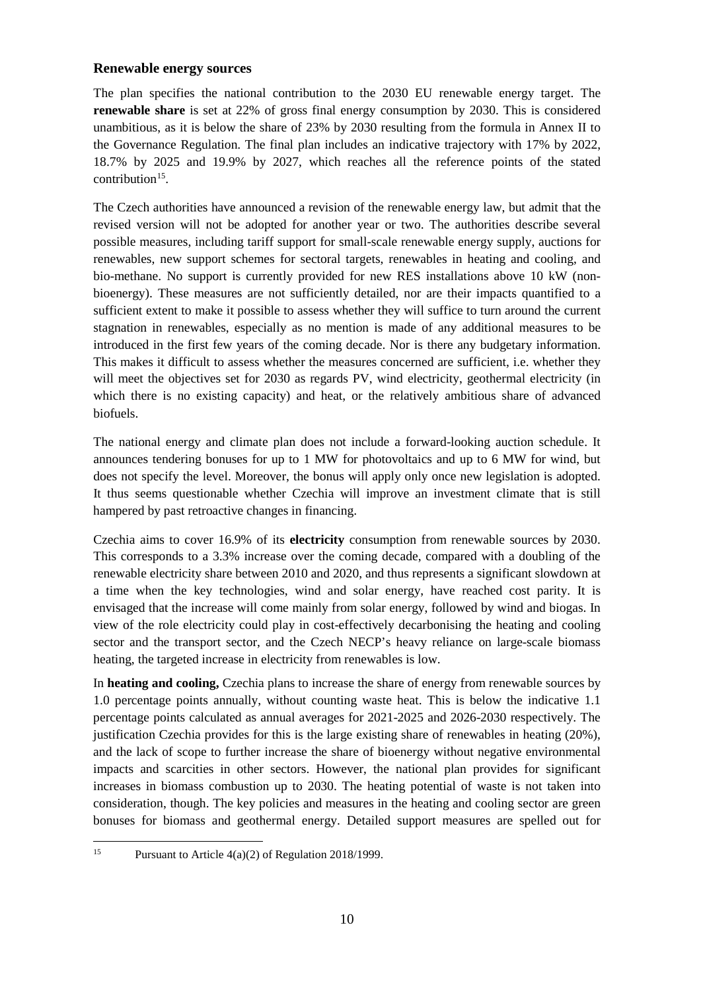#### <span id="page-10-0"></span>**Renewable energy sources**

The plan specifies the national contribution to the 2030 EU renewable energy target. The **renewable share** is set at 22% of gross final energy consumption by 2030. This is considered unambitious, as it is below the share of 23% by 2030 resulting from the formula in Annex II to the Governance Regulation. The final plan includes an indicative trajectory with 17% by 2022, 18.7% by 2025 and 19.9% by 2027, which reaches all the reference points of the stated contribution<sup>15</sup>.

The Czech authorities have announced a revision of the renewable energy law, but admit that the revised version will not be adopted for another year or two. The authorities describe several possible measures, including tariff support for small-scale renewable energy supply, auctions for renewables, new support schemes for sectoral targets, renewables in heating and cooling, and bio-methane. No support is currently provided for new RES installations above 10 kW (nonbioenergy). These measures are not sufficiently detailed, nor are their impacts quantified to a sufficient extent to make it possible to assess whether they will suffice to turn around the current stagnation in renewables, especially as no mention is made of any additional measures to be introduced in the first few years of the coming decade. Nor is there any budgetary information. This makes it difficult to assess whether the measures concerned are sufficient, i.e. whether they will meet the objectives set for 2030 as regards PV, wind electricity, geothermal electricity (in which there is no existing capacity) and heat, or the relatively ambitious share of advanced biofuels.

The national energy and climate plan does not include a forward-looking auction schedule. It announces tendering bonuses for up to 1 MW for photovoltaics and up to 6 MW for wind, but does not specify the level. Moreover, the bonus will apply only once new legislation is adopted. It thus seems questionable whether Czechia will improve an investment climate that is still hampered by past retroactive changes in financing.

Czechia aims to cover 16.9% of its **electricity** consumption from renewable sources by 2030. This corresponds to a 3.3% increase over the coming decade, compared with a doubling of the renewable electricity share between 2010 and 2020, and thus represents a significant slowdown at a time when the key technologies, wind and solar energy, have reached cost parity. It is envisaged that the increase will come mainly from solar energy, followed by wind and biogas. In view of the role electricity could play in cost-effectively decarbonising the heating and cooling sector and the transport sector, and the Czech NECP's heavy reliance on large-scale biomass heating, the targeted increase in electricity from renewables is low.

In **heating and cooling,** Czechia plans to increase the share of energy from renewable sources by 1.0 percentage points annually, without counting waste heat. This is below the indicative 1.1 percentage points calculated as annual averages for 2021-2025 and 2026-2030 respectively. The justification Czechia provides for this is the large existing share of renewables in heating (20%), and the lack of scope to further increase the share of bioenergy without negative environmental impacts and scarcities in other sectors. However, the national plan provides for significant increases in biomass combustion up to 2030. The heating potential of waste is not taken into consideration, though. The key policies and measures in the heating and cooling sector are green bonuses for biomass and geothermal energy. Detailed support measures are spelled out for

<span id="page-10-1"></span> $15$ Pursuant to Article 4(a)(2) of Regulation 2018/1999.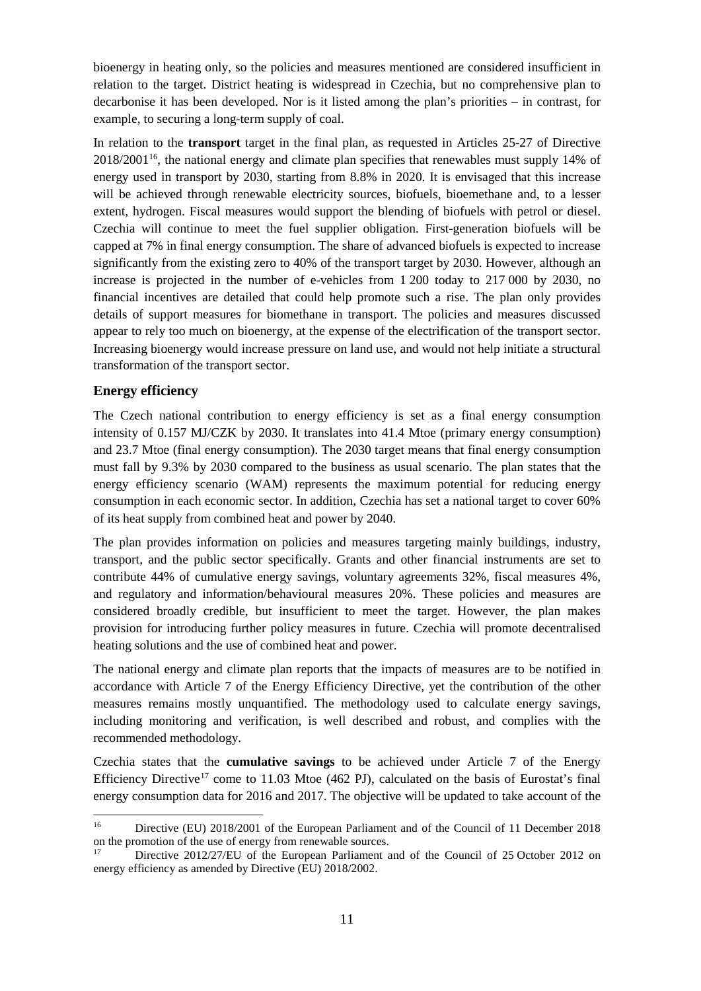bioenergy in heating only, so the policies and measures mentioned are considered insufficient in relation to the target. District heating is widespread in Czechia, but no comprehensive plan to decarbonise it has been developed. Nor is it listed among the plan's priorities – in contrast, for example, to securing a long-term supply of coal.

In relation to the **transport** target in the final plan, as requested in Articles 25-27 of Directive  $2018/2001^{16}$ , the national energy and climate plan specifies that renewables must supply 14% of energy used in transport by 2030, starting from 8.8% in 2020. It is envisaged that this increase will be achieved through renewable electricity sources, biofuels, bioemethane and, to a lesser extent, hydrogen. Fiscal measures would support the blending of biofuels with petrol or diesel. Czechia will continue to meet the fuel supplier obligation. First-generation biofuels will be capped at 7% in final energy consumption. The share of advanced biofuels is expected to increase significantly from the existing zero to 40% of the transport target by 2030. However, although an increase is projected in the number of e-vehicles from 1 200 today to 217 000 by 2030, no financial incentives are detailed that could help promote such a rise. The plan only provides details of support measures for biomethane in transport. The policies and measures discussed appear to rely too much on bioenergy, at the expense of the electrification of the transport sector. Increasing bioenergy would increase pressure on land use, and would not help initiate a structural transformation of the transport sector.

#### <span id="page-11-0"></span>**Energy efficiency**

The Czech national contribution to energy efficiency is set as a final energy consumption intensity of 0.157 MJ/CZK by 2030. It translates into 41.4 Mtoe (primary energy consumption) and 23.7 Mtoe (final energy consumption). The 2030 target means that final energy consumption must fall by 9.3% by 2030 compared to the business as usual scenario. The plan states that the energy efficiency scenario (WAM) represents the maximum potential for reducing energy consumption in each economic sector. In addition, Czechia has set a national target to cover 60% of its heat supply from combined heat and power by 2040.

The plan provides information on policies and measures targeting mainly buildings, industry, transport, and the public sector specifically. Grants and other financial instruments are set to contribute 44% of cumulative energy savings, voluntary agreements 32%, fiscal measures 4%, and regulatory and information/behavioural measures 20%. These policies and measures are considered broadly credible, but insufficient to meet the target. However, the plan makes provision for introducing further policy measures in future. Czechia will promote decentralised heating solutions and the use of combined heat and power.

The national energy and climate plan reports that the impacts of measures are to be notified in accordance with Article 7 of the Energy Efficiency Directive, yet the contribution of the other measures remains mostly unquantified. The methodology used to calculate energy savings, including monitoring and verification, is well described and robust, and complies with the recommended methodology.

Czechia states that the **cumulative savings** to be achieved under Article 7 of the Energy Efficiency Directive<sup>17</sup> come to 11.03 Mtoe (462 PJ), calculated on the basis of Eurostat's final energy consumption data for 2016 and 2017. The objective will be updated to take account of the

<span id="page-11-1"></span> $16\,$ Directive (EU) 2018/2001 of the European Parliament and of the Council of 11 December 2018 on the promotion of the use of energy from renewable sources.<br> $\frac{17}{12}$  Directive 2012/27/EU of the European Depliement

<span id="page-11-2"></span>Directive 2012/27/EU of the European Parliament and of the Council of 25 October 2012 on energy efficiency as amended by Directive (EU) 2018/2002.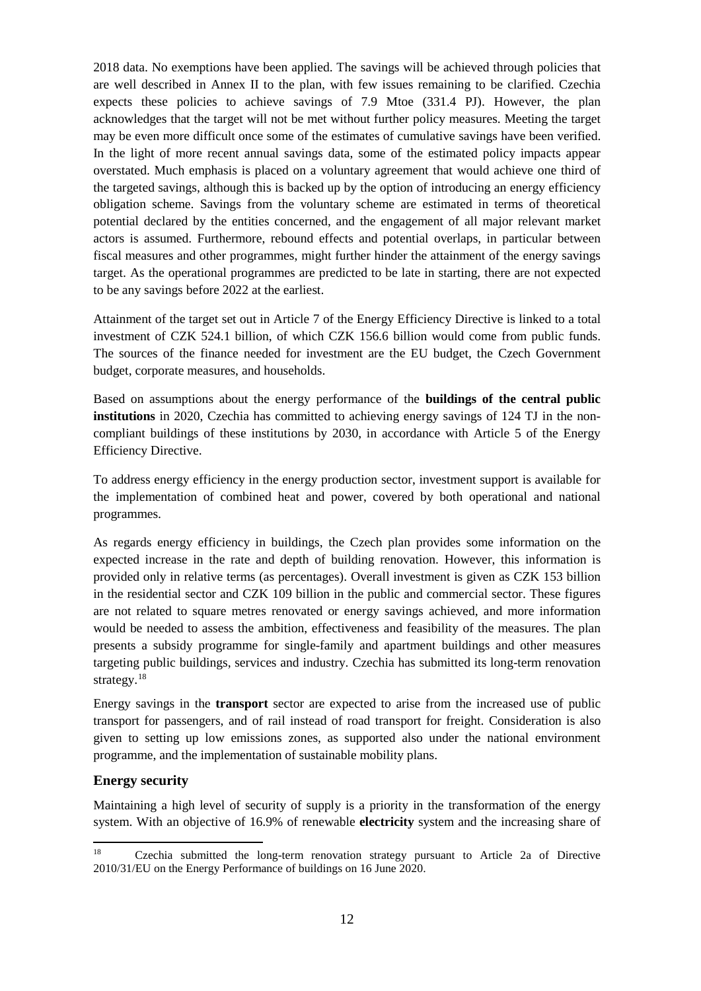2018 data. No exemptions have been applied. The savings will be achieved through policies that are well described in Annex II to the plan, with few issues remaining to be clarified. Czechia expects these policies to achieve savings of 7.9 Mtoe (331.4 PJ). However, the plan acknowledges that the target will not be met without further policy measures. Meeting the target may be even more difficult once some of the estimates of cumulative savings have been verified. In the light of more recent annual savings data, some of the estimated policy impacts appear overstated. Much emphasis is placed on a voluntary agreement that would achieve one third of the targeted savings, although this is backed up by the option of introducing an energy efficiency obligation scheme. Savings from the voluntary scheme are estimated in terms of theoretical potential declared by the entities concerned, and the engagement of all major relevant market actors is assumed. Furthermore, rebound effects and potential overlaps, in particular between fiscal measures and other programmes, might further hinder the attainment of the energy savings target. As the operational programmes are predicted to be late in starting, there are not expected to be any savings before 2022 at the earliest.

Attainment of the target set out in Article 7 of the Energy Efficiency Directive is linked to a total investment of CZK 524.1 billion, of which CZK 156.6 billion would come from public funds. The sources of the finance needed for investment are the EU budget, the Czech Government budget, corporate measures, and households.

Based on assumptions about the energy performance of the **buildings of the central public institutions** in 2020, Czechia has committed to achieving energy savings of 124 TJ in the noncompliant buildings of these institutions by 2030, in accordance with Article 5 of the Energy Efficiency Directive.

To address energy efficiency in the energy production sector, investment support is available for the implementation of combined heat and power, covered by both operational and national programmes.

As regards energy efficiency in buildings, the Czech plan provides some information on the expected increase in the rate and depth of building renovation. However, this information is provided only in relative terms (as percentages). Overall investment is given as CZK 153 billion in the residential sector and CZK 109 billion in the public and commercial sector. These figures are not related to square metres renovated or energy savings achieved, and more information would be needed to assess the ambition, effectiveness and feasibility of the measures. The plan presents a subsidy programme for single-family and apartment buildings and other measures targeting public buildings, services and industry. Czechia has submitted its long-term renovation strategy.<sup>[18](#page-12-1)</sup>

Energy savings in the **transport** sector are expected to arise from the increased use of public transport for passengers, and of rail instead of road transport for freight. Consideration is also given to setting up low emissions zones, as supported also under the national environment programme, and the implementation of sustainable mobility plans.

#### <span id="page-12-0"></span>**Energy security**

Maintaining a high level of security of supply is a priority in the transformation of the energy system. With an objective of 16.9% of renewable **electricity** system and the increasing share of

<span id="page-12-1"></span><sup>18</sup> <sup>18</sup> Czechia submitted the long-term renovation strategy pursuant to Article 2a of Directive 2010/31/EU on the Energy Performance of buildings on 16 June 2020.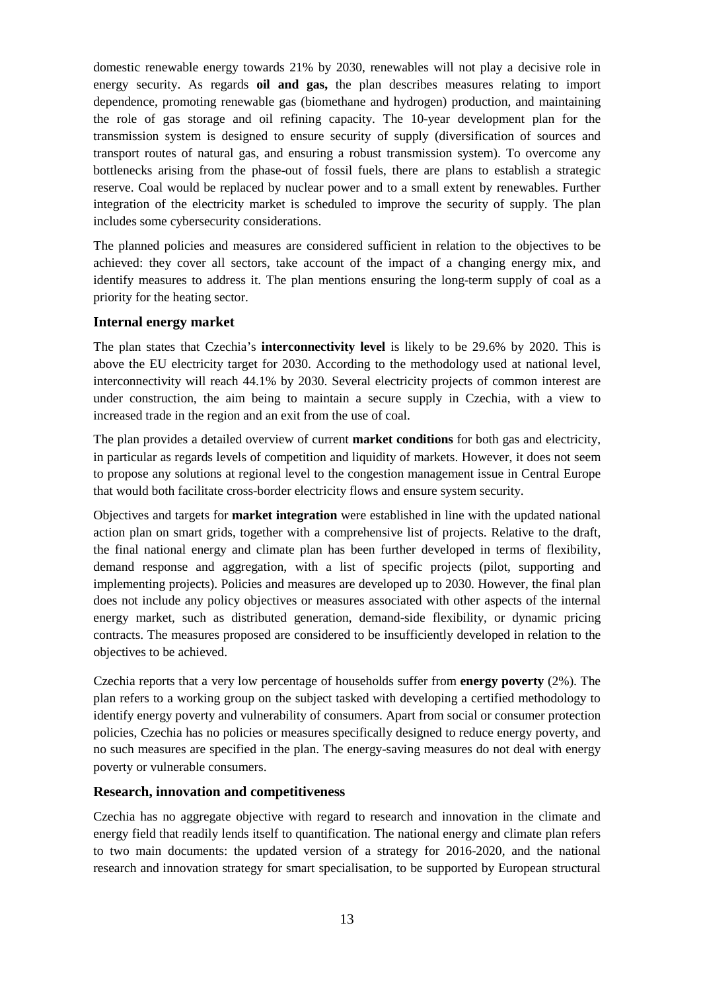domestic renewable energy towards 21% by 2030, renewables will not play a decisive role in energy security. As regards **oil and gas,** the plan describes measures relating to import dependence, promoting renewable gas (biomethane and hydrogen) production, and maintaining the role of gas storage and oil refining capacity. The 10-year development plan for the transmission system is designed to ensure security of supply (diversification of sources and transport routes of natural gas, and ensuring a robust transmission system). To overcome any bottlenecks arising from the phase-out of fossil fuels, there are plans to establish a strategic reserve. Coal would be replaced by nuclear power and to a small extent by renewables. Further integration of the electricity market is scheduled to improve the security of supply. The plan includes some cybersecurity considerations.

The planned policies and measures are considered sufficient in relation to the objectives to be achieved: they cover all sectors, take account of the impact of a changing energy mix, and identify measures to address it. The plan mentions ensuring the long-term supply of coal as a priority for the heating sector.

#### <span id="page-13-0"></span>**Internal energy market**

The plan states that Czechia's **interconnectivity level** is likely to be 29.6% by 2020. This is above the EU electricity target for 2030. According to the methodology used at national level, interconnectivity will reach 44.1% by 2030. Several electricity projects of common interest are under construction, the aim being to maintain a secure supply in Czechia, with a view to increased trade in the region and an exit from the use of coal.

The plan provides a detailed overview of current **market conditions** for both gas and electricity, in particular as regards levels of competition and liquidity of markets. However, it does not seem to propose any solutions at regional level to the congestion management issue in Central Europe that would both facilitate cross-border electricity flows and ensure system security.

Objectives and targets for **market integration** were established in line with the updated national action plan on smart grids, together with a comprehensive list of projects. Relative to the draft, the final national energy and climate plan has been further developed in terms of flexibility, demand response and aggregation, with a list of specific projects (pilot, supporting and implementing projects). Policies and measures are developed up to 2030. However, the final plan does not include any policy objectives or measures associated with other aspects of the internal energy market, such as distributed generation, demand-side flexibility, or dynamic pricing contracts. The measures proposed are considered to be insufficiently developed in relation to the objectives to be achieved.

Czechia reports that a very low percentage of households suffer from **energy poverty** (2%). The plan refers to a working group on the subject tasked with developing a certified methodology to identify energy poverty and vulnerability of consumers. Apart from social or consumer protection policies, Czechia has no policies or measures specifically designed to reduce energy poverty, and no such measures are specified in the plan. The energy-saving measures do not deal with energy poverty or vulnerable consumers.

#### <span id="page-13-1"></span>**Research, innovation and competitiveness**

Czechia has no aggregate objective with regard to research and innovation in the climate and energy field that readily lends itself to quantification. The national energy and climate plan refers to two main documents: the updated version of a strategy for 2016-2020, and the national research and innovation strategy for smart specialisation, to be supported by European structural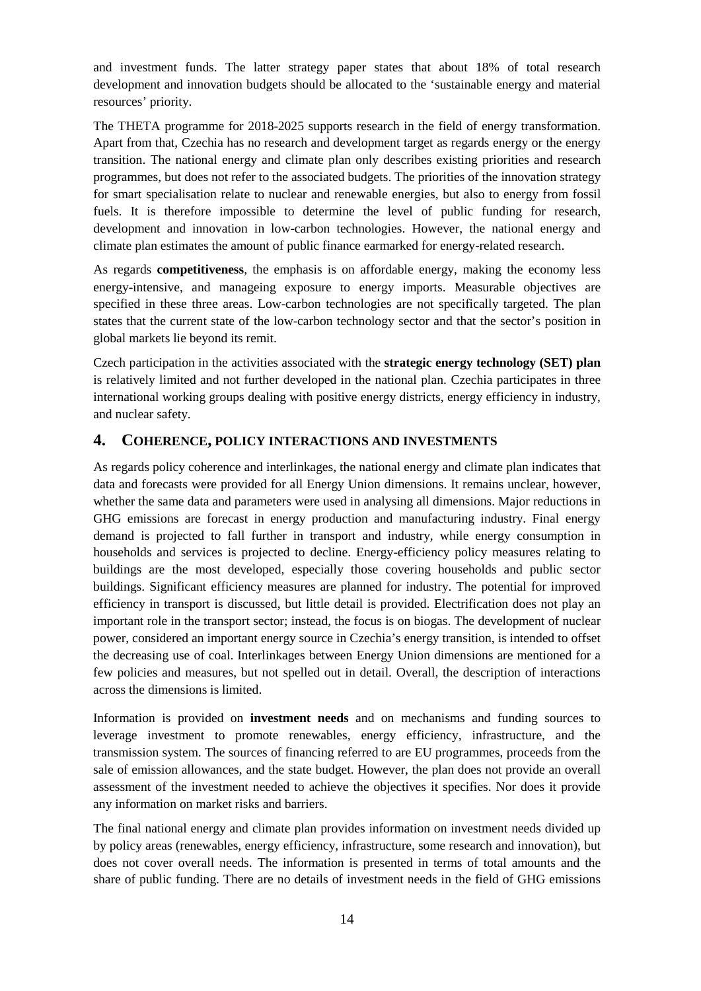and investment funds. The latter strategy paper states that about 18% of total research development and innovation budgets should be allocated to the 'sustainable energy and material resources' priority.

The THETA programme for 2018-2025 supports research in the field of energy transformation. Apart from that, Czechia has no research and development target as regards energy or the energy transition. The national energy and climate plan only describes existing priorities and research programmes, but does not refer to the associated budgets. The priorities of the innovation strategy for smart specialisation relate to nuclear and renewable energies, but also to energy from fossil fuels. It is therefore impossible to determine the level of public funding for research, development and innovation in low-carbon technologies. However, the national energy and climate plan estimates the amount of public finance earmarked for energy-related research.

As regards **competitiveness**, the emphasis is on affordable energy, making the economy less energy-intensive, and manageing exposure to energy imports. Measurable objectives are specified in these three areas. Low-carbon technologies are not specifically targeted. The plan states that the current state of the low-carbon technology sector and that the sector's position in global markets lie beyond its remit.

Czech participation in the activities associated with the **strategic energy technology (SET) plan** is relatively limited and not further developed in the national plan. Czechia participates in three international working groups dealing with positive energy districts, energy efficiency in industry, and nuclear safety.

#### <span id="page-14-0"></span>**4. COHERENCE, POLICY INTERACTIONS AND INVESTMENTS**

As regards policy coherence and interlinkages, the national energy and climate plan indicates that data and forecasts were provided for all Energy Union dimensions. It remains unclear, however, whether the same data and parameters were used in analysing all dimensions. Major reductions in GHG emissions are forecast in energy production and manufacturing industry. Final energy demand is projected to fall further in transport and industry, while energy consumption in households and services is projected to decline. Energy-efficiency policy measures relating to buildings are the most developed, especially those covering households and public sector buildings. Significant efficiency measures are planned for industry. The potential for improved efficiency in transport is discussed, but little detail is provided. Electrification does not play an important role in the transport sector; instead, the focus is on biogas. The development of nuclear power, considered an important energy source in Czechia's energy transition, is intended to offset the decreasing use of coal. Interlinkages between Energy Union dimensions are mentioned for a few policies and measures, but not spelled out in detail. Overall, the description of interactions across the dimensions is limited.

Information is provided on **investment needs** and on mechanisms and funding sources to leverage investment to promote renewables, energy efficiency, infrastructure, and the transmission system. The sources of financing referred to are EU programmes, proceeds from the sale of emission allowances, and the state budget. However, the plan does not provide an overall assessment of the investment needed to achieve the objectives it specifies. Nor does it provide any information on market risks and barriers.

The final national energy and climate plan provides information on investment needs divided up by policy areas (renewables, energy efficiency, infrastructure, some research and innovation), but does not cover overall needs. The information is presented in terms of total amounts and the share of public funding. There are no details of investment needs in the field of GHG emissions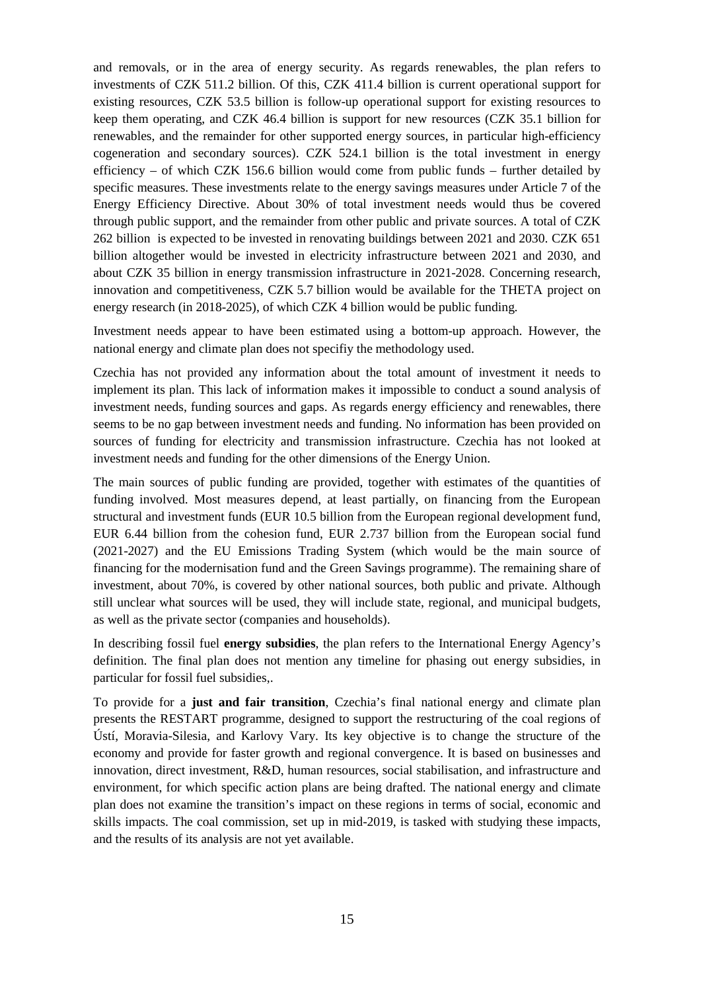and removals, or in the area of energy security. As regards renewables, the plan refers to investments of CZK 511.2 billion. Of this, CZK 411.4 billion is current operational support for existing resources, CZK 53.5 billion is follow-up operational support for existing resources to keep them operating, and CZK 46.4 billion is support for new resources (CZK 35.1 billion for renewables, and the remainder for other supported energy sources, in particular high-efficiency cogeneration and secondary sources). CZK 524.1 billion is the total investment in energy efficiency – of which CZK 156.6 billion would come from public funds – further detailed by specific measures. These investments relate to the energy savings measures under Article 7 of the Energy Efficiency Directive. About 30% of total investment needs would thus be covered through public support, and the remainder from other public and private sources. A total of CZK 262 billion is expected to be invested in renovating buildings between 2021 and 2030. CZK 651 billion altogether would be invested in electricity infrastructure between 2021 and 2030, and about CZK 35 billion in energy transmission infrastructure in 2021-2028. Concerning research, innovation and competitiveness, CZK 5.7 billion would be available for the THETA project on energy research (in 2018-2025), of which CZK 4 billion would be public funding.

Investment needs appear to have been estimated using a bottom-up approach. However, the national energy and climate plan does not specifiy the methodology used.

Czechia has not provided any information about the total amount of investment it needs to implement its plan. This lack of information makes it impossible to conduct a sound analysis of investment needs, funding sources and gaps. As regards energy efficiency and renewables, there seems to be no gap between investment needs and funding. No information has been provided on sources of funding for electricity and transmission infrastructure. Czechia has not looked at investment needs and funding for the other dimensions of the Energy Union.

The main sources of public funding are provided, together with estimates of the quantities of funding involved. Most measures depend, at least partially, on financing from the European structural and investment funds (EUR 10.5 billion from the European regional development fund, EUR 6.44 billion from the cohesion fund, EUR 2.737 billion from the European social fund (2021-2027) and the EU Emissions Trading System (which would be the main source of financing for the modernisation fund and the Green Savings programme). The remaining share of investment, about 70%, is covered by other national sources, both public and private. Although still unclear what sources will be used, they will include state, regional, and municipal budgets, as well as the private sector (companies and households).

In describing fossil fuel **energy subsidies**, the plan refers to the International Energy Agency's definition. The final plan does not mention any timeline for phasing out energy subsidies, in particular for fossil fuel subsidies,.

To provide for a **just and fair transition**, Czechia's final national energy and climate plan presents the RESTART programme, designed to support the restructuring of the coal regions of Ústí, Moravia-Silesia, and Karlovy Vary. Its key objective is to change the structure of the economy and provide for faster growth and regional convergence. It is based on businesses and innovation, direct investment, R&D, human resources, social stabilisation, and infrastructure and environment, for which specific action plans are being drafted. The national energy and climate plan does not examine the transition's impact on these regions in terms of social, economic and skills impacts. The coal commission, set up in mid-2019, is tasked with studying these impacts, and the results of its analysis are not yet available.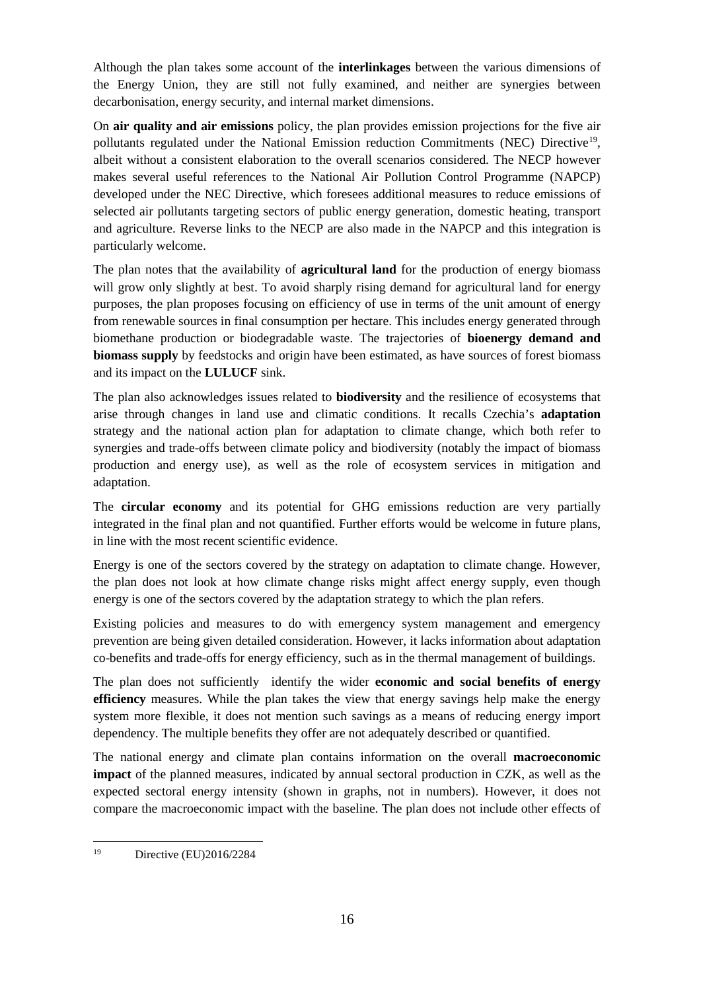Although the plan takes some account of the **interlinkages** between the various dimensions of the Energy Union, they are still not fully examined, and neither are synergies between decarbonisation, energy security, and internal market dimensions.

On **air quality and air emissions** policy, the plan provides emission projections for the five air pollutants regulated under the National Emission reduction Commitments (NEC) Directive<sup>[19](#page-16-0)</sup>, albeit without a consistent elaboration to the overall scenarios considered. The NECP however makes several useful references to the National Air Pollution Control Programme (NAPCP) developed under the NEC Directive, which foresees additional measures to reduce emissions of selected air pollutants targeting sectors of public energy generation, domestic heating, transport and agriculture. Reverse links to the NECP are also made in the NAPCP and this integration is particularly welcome.

The plan notes that the availability of **agricultural land** for the production of energy biomass will grow only slightly at best. To avoid sharply rising demand for agricultural land for energy purposes, the plan proposes focusing on efficiency of use in terms of the unit amount of energy from renewable sources in final consumption per hectare. This includes energy generated through biomethane production or biodegradable waste. The trajectories of **bioenergy demand and biomass supply** by feedstocks and origin have been estimated, as have sources of forest biomass and its impact on the **LULUCF** sink.

The plan also acknowledges issues related to **biodiversity** and the resilience of ecosystems that arise through changes in land use and climatic conditions. It recalls Czechia's **adaptation** strategy and the national action plan for adaptation to climate change, which both refer to synergies and trade-offs between climate policy and biodiversity (notably the impact of biomass production and energy use), as well as the role of ecosystem services in mitigation and adaptation.

The **circular economy** and its potential for GHG emissions reduction are very partially integrated in the final plan and not quantified. Further efforts would be welcome in future plans, in line with the most recent scientific evidence.

Energy is one of the sectors covered by the strategy on adaptation to climate change. However, the plan does not look at how climate change risks might affect energy supply, even though energy is one of the sectors covered by the adaptation strategy to which the plan refers.

Existing policies and measures to do with emergency system management and emergency prevention are being given detailed consideration. However, it lacks information about adaptation co-benefits and trade-offs for energy efficiency, such as in the thermal management of buildings.

The plan does not sufficiently identify the wider **economic and social benefits of energy efficiency** measures. While the plan takes the view that energy savings help make the energy system more flexible, it does not mention such savings as a means of reducing energy import dependency. The multiple benefits they offer are not adequately described or quantified.

The national energy and climate plan contains information on the overall **macroeconomic impact** of the planned measures, indicated by annual sectoral production in CZK, as well as the expected sectoral energy intensity (shown in graphs, not in numbers). However, it does not compare the macroeconomic impact with the baseline. The plan does not include other effects of

<span id="page-16-0"></span><sup>19</sup> Directive (EU)2016/2284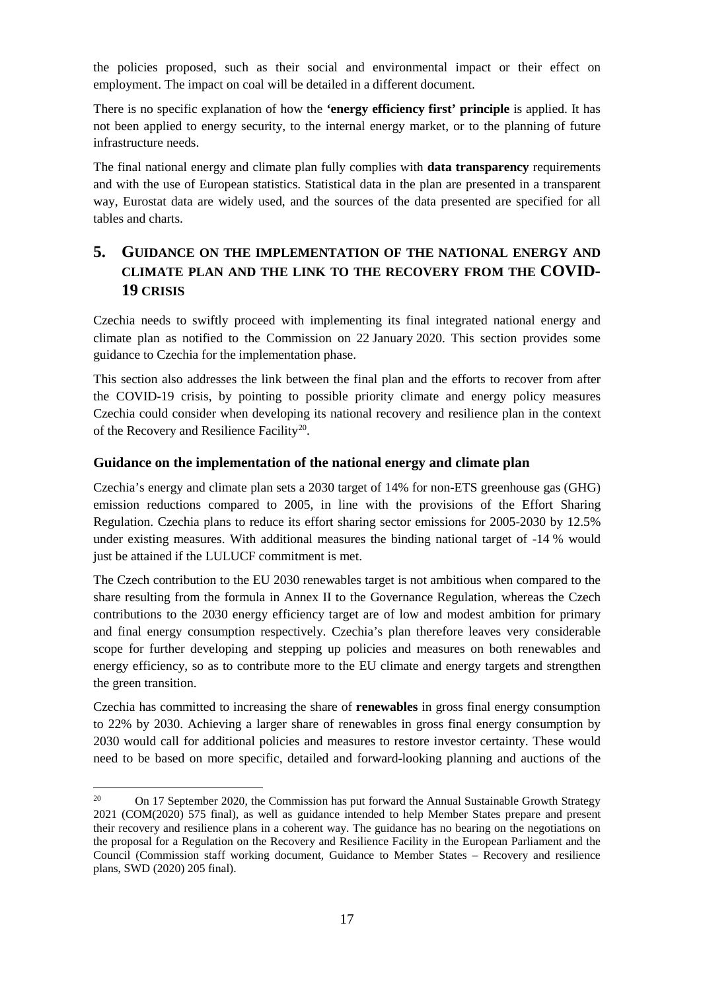the policies proposed, such as their social and environmental impact or their effect on employment. The impact on coal will be detailed in a different document.

There is no specific explanation of how the **'energy efficiency first' principle** is applied. It has not been applied to energy security, to the internal energy market, or to the planning of future infrastructure needs.

The final national energy and climate plan fully complies with **data transparency** requirements and with the use of European statistics. Statistical data in the plan are presented in a transparent way, Eurostat data are widely used, and the sources of the data presented are specified for all tables and charts.

## <span id="page-17-0"></span>**5. GUIDANCE ON THE IMPLEMENTATION OF THE NATIONAL ENERGY AND CLIMATE PLAN AND THE LINK TO THE RECOVERY FROM THE COVID-19 CRISIS**

Czechia needs to swiftly proceed with implementing its final integrated national energy and climate plan as notified to the Commission on 22 January 2020. This section provides some guidance to Czechia for the implementation phase.

This section also addresses the link between the final plan and the efforts to recover from after the COVID-19 crisis, by pointing to possible priority climate and energy policy measures Czechia could consider when developing its national recovery and resilience plan in the context of the Recovery and Resilience Facility<sup>20</sup>.

#### <span id="page-17-1"></span>**Guidance on the implementation of the national energy and climate plan**

Czechia's energy and climate plan sets a 2030 target of 14% for non-ETS greenhouse gas (GHG) emission reductions compared to 2005, in line with the provisions of the Effort Sharing Regulation. Czechia plans to reduce its effort sharing sector emissions for 2005-2030 by 12.5% under existing measures. With additional measures the binding national target of -14 % would just be attained if the LULUCF commitment is met.

The Czech contribution to the EU 2030 renewables target is not ambitious when compared to the share resulting from the formula in Annex II to the Governance Regulation, whereas the Czech contributions to the 2030 energy efficiency target are of low and modest ambition for primary and final energy consumption respectively. Czechia's plan therefore leaves very considerable scope for further developing and stepping up policies and measures on both renewables and energy efficiency, so as to contribute more to the EU climate and energy targets and strengthen the green transition.

Czechia has committed to increasing the share of **renewables** in gross final energy consumption to 22% by 2030. Achieving a larger share of renewables in gross final energy consumption by 2030 would call for additional policies and measures to restore investor certainty. These would need to be based on more specific, detailed and forward-looking planning and auctions of the

<span id="page-17-2"></span><sup>20</sup> <sup>20</sup> On 17 September 2020, the Commission has put forward the Annual Sustainable Growth Strategy 2021 (COM(2020) 575 final), as well as guidance intended to help Member States prepare and present their recovery and resilience plans in a coherent way. The guidance has no bearing on the negotiations on the proposal for a Regulation on the Recovery and Resilience Facility in the European Parliament and the Council (Commission staff working document, Guidance to Member States – Recovery and resilience plans, SWD (2020) 205 final).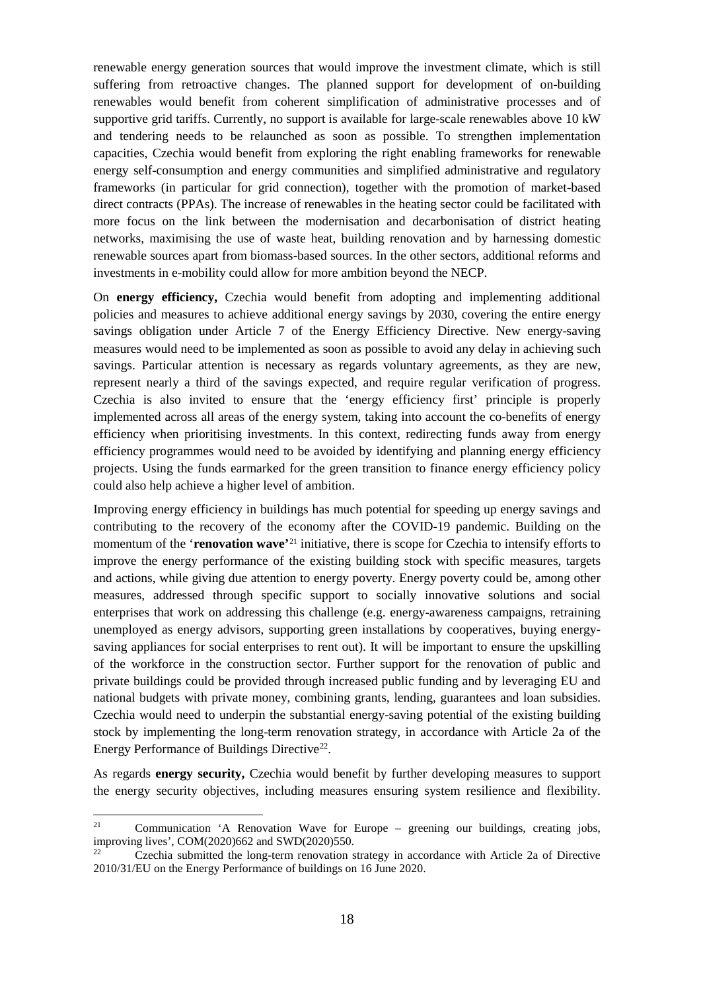renewable energy generation sources that would improve the investment climate, which is still suffering from retroactive changes. The planned support for development of on-building renewables would benefit from coherent simplification of administrative processes and of supportive grid tariffs. Currently, no support is available for large-scale renewables above 10 kW and tendering needs to be relaunched as soon as possible. To strengthen implementation capacities, Czechia would benefit from exploring the right enabling frameworks for renewable energy self-consumption and energy communities and simplified administrative and regulatory frameworks (in particular for grid connection), together with the promotion of market-based direct contracts (PPAs). The increase of renewables in the heating sector could be facilitated with more focus on the link between the modernisation and decarbonisation of district heating networks, maximising the use of waste heat, building renovation and by harnessing domestic renewable sources apart from biomass-based sources. In the other sectors, additional reforms and investments in e-mobility could allow for more ambition beyond the NECP.

On **energy efficiency,** Czechia would benefit from adopting and implementing additional policies and measures to achieve additional energy savings by 2030, covering the entire energy savings obligation under Article 7 of the Energy Efficiency Directive. New energy-saving measures would need to be implemented as soon as possible to avoid any delay in achieving such savings. Particular attention is necessary as regards voluntary agreements, as they are new, represent nearly a third of the savings expected, and require regular verification of progress. Czechia is also invited to ensure that the 'energy efficiency first' principle is properly implemented across all areas of the energy system, taking into account the co-benefits of energy efficiency when prioritising investments. In this context, redirecting funds away from energy efficiency programmes would need to be avoided by identifying and planning energy efficiency projects. Using the funds earmarked for the green transition to finance energy efficiency policy could also help achieve a higher level of ambition.

Improving energy efficiency in buildings has much potential for speeding up energy savings and contributing to the recovery of the economy after the COVID-19 pandemic. Building on the momentum of the '**renovation wave'**[21](#page-18-0) initiative, there is scope for Czechia to intensify efforts to improve the energy performance of the existing building stock with specific measures, targets and actions, while giving due attention to energy poverty. Energy poverty could be, among other measures, addressed through specific support to socially innovative solutions and social enterprises that work on addressing this challenge (e.g. energy-awareness campaigns, retraining unemployed as energy advisors, supporting green installations by cooperatives, buying energysaving appliances for social enterprises to rent out). It will be important to ensure the upskilling of the workforce in the construction sector. Further support for the renovation of public and private buildings could be provided through increased public funding and by leveraging EU and national budgets with private money, combining grants, lending, guarantees and loan subsidies. Czechia would need to underpin the substantial energy-saving potential of the existing building stock by implementing the long-term renovation strategy, in accordance with Article 2a of the Energy Performance of Buildings Directive<sup>22</sup>.

As regards **energy security,** Czechia would benefit by further developing measures to support the energy security objectives, including measures ensuring system resilience and flexibility.

<span id="page-18-0"></span><sup>21</sup> Communication 'A Renovation Wave for Europe - greening our buildings, creating jobs, improving lives', COM(2020)662 and SWD(2020)550.

<span id="page-18-1"></span><sup>22</sup> Czechia submitted the long-term renovation strategy in accordance with Article 2a of Directive 2010/31/EU on the Energy Performance of buildings on 16 June 2020.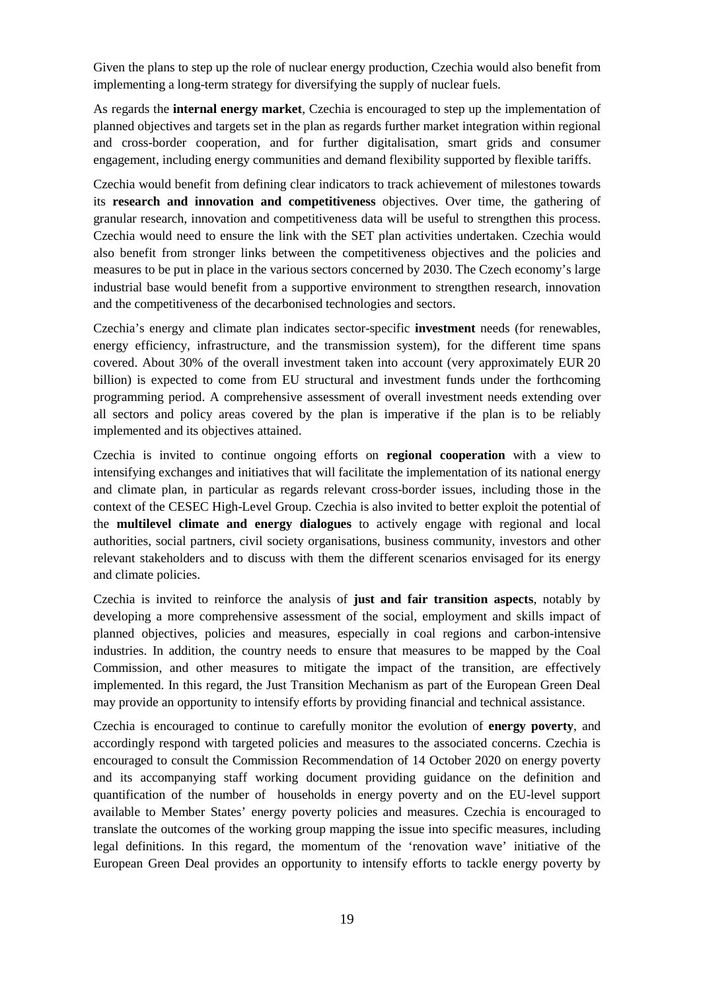Given the plans to step up the role of nuclear energy production, Czechia would also benefit from implementing a long-term strategy for diversifying the supply of nuclear fuels.

As regards the **internal energy market**, Czechia is encouraged to step up the implementation of planned objectives and targets set in the plan as regards further market integration within regional and cross-border cooperation, and for further digitalisation, smart grids and consumer engagement, including energy communities and demand flexibility supported by flexible tariffs.

Czechia would benefit from defining clear indicators to track achievement of milestones towards its **research and innovation and competitiveness** objectives. Over time, the gathering of granular research, innovation and competitiveness data will be useful to strengthen this process. Czechia would need to ensure the link with the SET plan activities undertaken. Czechia would also benefit from stronger links between the competitiveness objectives and the policies and measures to be put in place in the various sectors concerned by 2030. The Czech economy's large industrial base would benefit from a supportive environment to strengthen research, innovation and the competitiveness of the decarbonised technologies and sectors.

Czechia's energy and climate plan indicates sector-specific **investment** needs (for renewables, energy efficiency, infrastructure, and the transmission system), for the different time spans covered. About 30% of the overall investment taken into account (very approximately EUR 20 billion) is expected to come from EU structural and investment funds under the forthcoming programming period. A comprehensive assessment of overall investment needs extending over all sectors and policy areas covered by the plan is imperative if the plan is to be reliably implemented and its objectives attained.

Czechia is invited to continue ongoing efforts on **regional cooperation** with a view to intensifying exchanges and initiatives that will facilitate the implementation of its national energy and climate plan, in particular as regards relevant cross-border issues, including those in the context of the CESEC High-Level Group. Czechia is also invited to better exploit the potential of the **multilevel climate and energy dialogues** to actively engage with regional and local authorities, social partners, civil society organisations, business community, investors and other relevant stakeholders and to discuss with them the different scenarios envisaged for its energy and climate policies.

Czechia is invited to reinforce the analysis of **just and fair transition aspects**, notably by developing a more comprehensive assessment of the social, employment and skills impact of planned objectives, policies and measures, especially in coal regions and carbon-intensive industries. In addition, the country needs to ensure that measures to be mapped by the Coal Commission, and other measures to mitigate the impact of the transition, are effectively implemented. In this regard, the Just Transition Mechanism as part of the European Green Deal may provide an opportunity to intensify efforts by providing financial and technical assistance.

Czechia is encouraged to continue to carefully monitor the evolution of **energy poverty**, and accordingly respond with targeted policies and measures to the associated concerns. Czechia is encouraged to consult the Commission Recommendation of 14 October 2020 on energy poverty and its accompanying staff working document providing guidance on the definition and quantification of the number of households in energy poverty and on the EU-level support available to Member States' energy poverty policies and measures. Czechia is encouraged to translate the outcomes of the working group mapping the issue into specific measures, including legal definitions. In this regard, the momentum of the 'renovation wave' initiative of the European Green Deal provides an opportunity to intensify efforts to tackle energy poverty by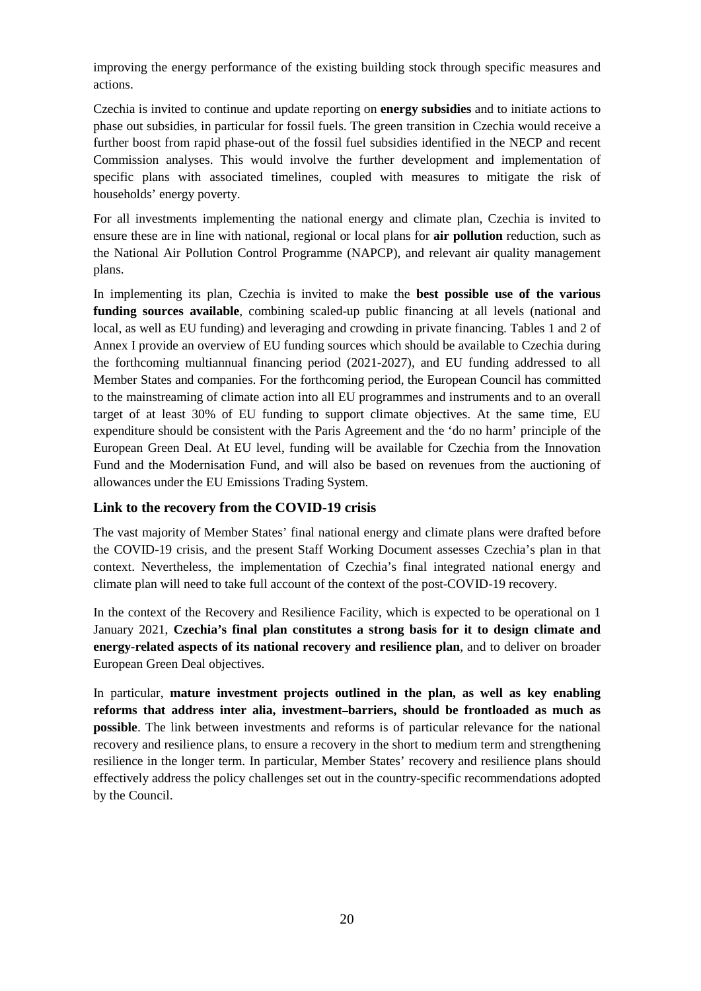improving the energy performance of the existing building stock through specific measures and actions.

Czechia is invited to continue and update reporting on **energy subsidies** and to initiate actions to phase out subsidies, in particular for fossil fuels. The green transition in Czechia would receive a further boost from rapid phase-out of the fossil fuel subsidies identified in the NECP and recent Commission analyses. This would involve the further development and implementation of specific plans with associated timelines, coupled with measures to mitigate the risk of households' energy poverty.

For all investments implementing the national energy and climate plan, Czechia is invited to ensure these are in line with national, regional or local plans for **air pollution** reduction, such as the National Air Pollution Control Programme (NAPCP), and relevant air quality management plans.

In implementing its plan, Czechia is invited to make the **best possible use of the various funding sources available**, combining scaled-up public financing at all levels (national and local, as well as EU funding) and leveraging and crowding in private financing. Tables 1 and 2 of Annex I provide an overview of EU funding sources which should be available to Czechia during the forthcoming multiannual financing period (2021-2027), and EU funding addressed to all Member States and companies. For the forthcoming period, the European Council has committed to the mainstreaming of climate action into all EU programmes and instruments and to an overall target of at least 30% of EU funding to support climate objectives. At the same time, EU expenditure should be consistent with the Paris Agreement and the 'do no harm' principle of the European Green Deal. At EU level, funding will be available for Czechia from the Innovation Fund and the Modernisation Fund, and will also be based on revenues from the auctioning of allowances under the EU Emissions Trading System.

#### <span id="page-20-0"></span>**Link to the recovery from the COVID-19 crisis**

The vast majority of Member States' final national energy and climate plans were drafted before the COVID-19 crisis, and the present Staff Working Document assesses Czechia's plan in that context. Nevertheless, the implementation of Czechia's final integrated national energy and climate plan will need to take full account of the context of the post-COVID-19 recovery.

In the context of the Recovery and Resilience Facility, which is expected to be operational on 1 January 2021, **Czechia's final plan constitutes a strong basis for it to design climate and energy-related aspects of its national recovery and resilience plan**, and to deliver on broader European Green Deal objectives.

In particular, **mature investment projects outlined in the plan, as well as key enabling reforms that address inter alia, investment barriers, should be frontloaded as much as possible**. The link between investments and reforms is of particular relevance for the national recovery and resilience plans, to ensure a recovery in the short to medium term and strengthening resilience in the longer term. In particular, Member States' recovery and resilience plans should effectively address the policy challenges set out in the country-specific recommendations adopted by the Council.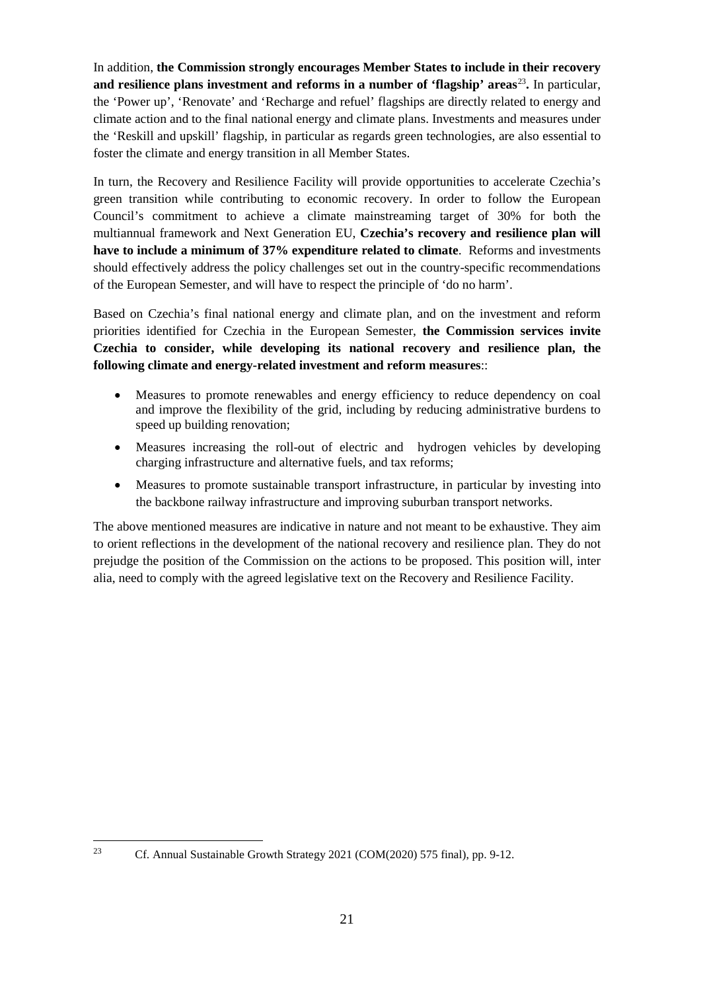In addition, **the Commission strongly encourages Member States to include in their recovery and resilience plans investment and reforms in a number of 'flagship' areas**[23](#page-21-0)**.** In particular, the 'Power up', 'Renovate' and 'Recharge and refuel' flagships are directly related to energy and climate action and to the final national energy and climate plans. Investments and measures under the 'Reskill and upskill' flagship, in particular as regards green technologies, are also essential to foster the climate and energy transition in all Member States.

In turn, the Recovery and Resilience Facility will provide opportunities to accelerate Czechia's green transition while contributing to economic recovery. In order to follow the European Council's commitment to achieve a climate mainstreaming target of 30% for both the multiannual framework and Next Generation EU, **Czechia's recovery and resilience plan will have to include a minimum of 37% expenditure related to climate**. Reforms and investments should effectively address the policy challenges set out in the country-specific recommendations of the European Semester, and will have to respect the principle of 'do no harm'.

Based on Czechia's final national energy and climate plan, and on the investment and reform priorities identified for Czechia in the European Semester, **the Commission services invite Czechia to consider, while developing its national recovery and resilience plan, the following climate and energy-related investment and reform measures**::

- Measures to promote renewables and energy efficiency to reduce dependency on coal and improve the flexibility of the grid, including by reducing administrative burdens to speed up building renovation;
- Measures increasing the roll-out of electric and hydrogen vehicles by developing charging infrastructure and alternative fuels, and tax reforms;
- Measures to promote sustainable transport infrastructure, in particular by investing into the backbone railway infrastructure and improving suburban transport networks.

The above mentioned measures are indicative in nature and not meant to be exhaustive. They aim to orient reflections in the development of the national recovery and resilience plan. They do not prejudge the position of the Commission on the actions to be proposed. This position will, inter alia, need to comply with the agreed legislative text on the Recovery and Resilience Facility.

 $\ddot{\phantom{a}}$ 

<span id="page-21-0"></span><sup>&</sup>lt;sup>23</sup> Cf. Annual Sustainable Growth Strategy 2021 (COM(2020) 575 final), pp. 9-12.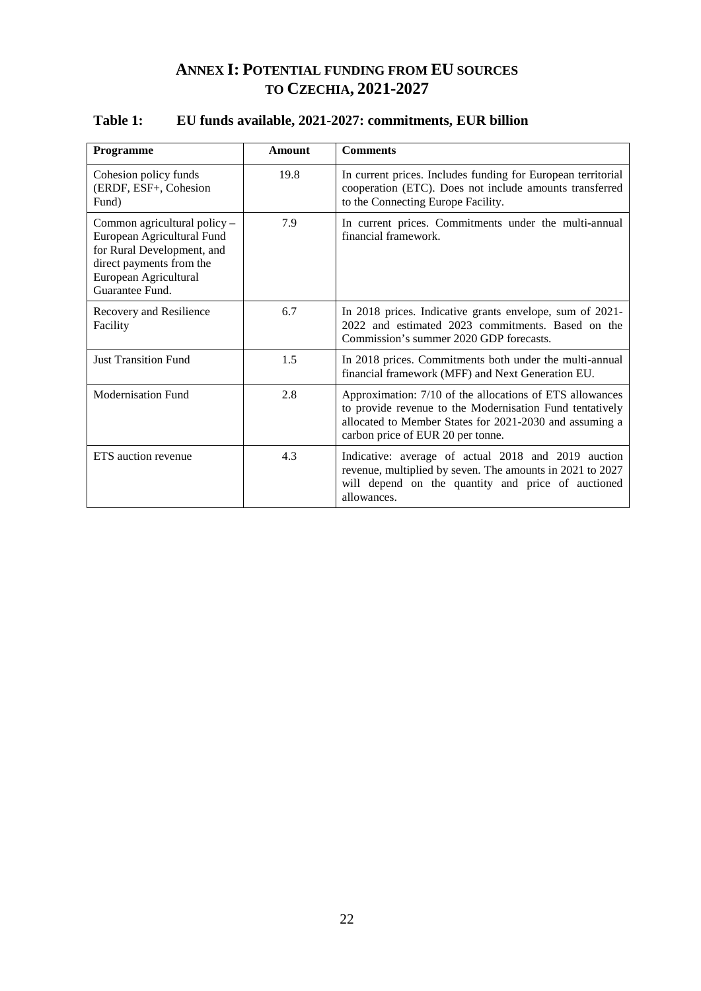## **ANNEX I: POTENTIAL FUNDING FROM EU SOURCES TO CZECHIA, 2021-2027**

#### **Programme Amount Comments** Cohesion policy funds (ERDF, ESF+, Cohesion Fund) 19.8 In current prices. Includes funding for European territorial cooperation (ETC). Does not include amounts transferred to the Connecting Europe Facility. Common agricultural policy – European Agricultural Fund for Rural Development, and direct payments from the European Agricultural Guarantee Fund. 7.9 In current prices. Commitments under the multi-annual financial framework. Recovery and Resilience Facility 6.7 In 2018 prices. Indicative grants envelope, sum of 2021- 2022 and estimated 2023 commitments. Based on the Commission's summer 2020 GDP forecasts. Just Transition Fund 1.5 In 2018 prices. Commitments both under the multi-annual financial framework (MFF) and Next Generation EU. Modernisation Fund 2.8 Approximation: 7/10 of the allocations of ETS allowances to provide revenue to the Modernisation Fund tentatively allocated to Member States for 2021-2030 and assuming a carbon price of EUR 20 per tonne. ETS auction revenue 1.3 | Indicative: average of actual 2018 and 2019 auction revenue, multiplied by seven. The amounts in 2021 to 2027 will depend on the quantity and price of auctioned allowances.

#### <span id="page-22-1"></span><span id="page-22-0"></span>**Table 1: EU funds available, 2021-2027: commitments, EUR billion**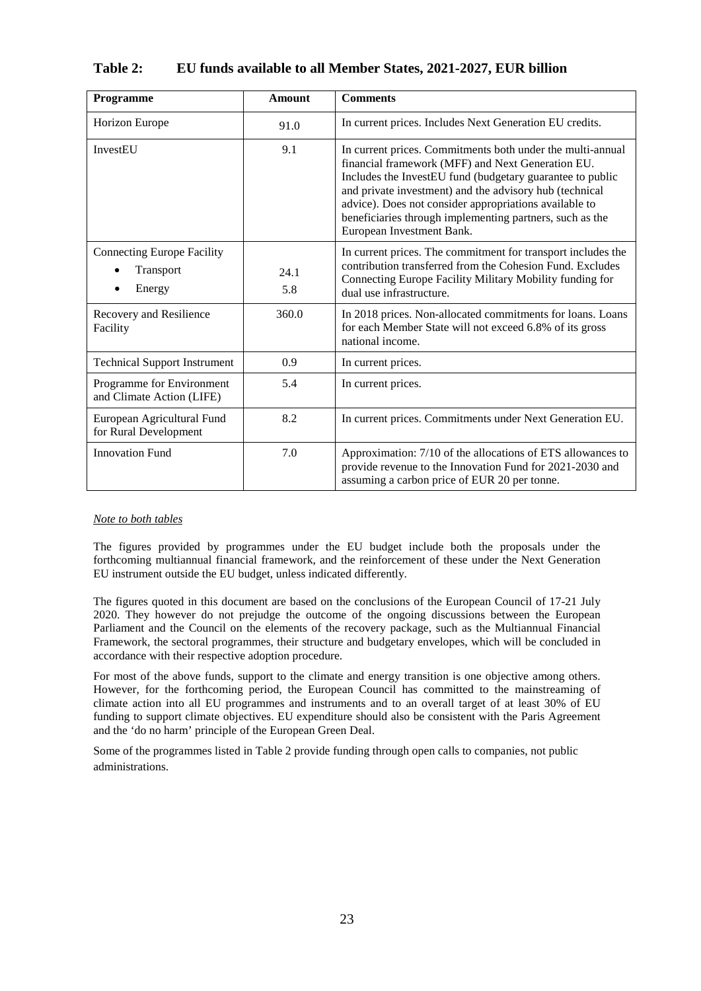| Programme                                                | <b>Amount</b> | <b>Comments</b>                                                                                                                                                                                                                                                                                                                                                                            |
|----------------------------------------------------------|---------------|--------------------------------------------------------------------------------------------------------------------------------------------------------------------------------------------------------------------------------------------------------------------------------------------------------------------------------------------------------------------------------------------|
| <b>Horizon Europe</b>                                    | 91.0          | In current prices. Includes Next Generation EU credits.                                                                                                                                                                                                                                                                                                                                    |
| InvestEU                                                 | 9.1           | In current prices. Commitments both under the multi-annual<br>financial framework (MFF) and Next Generation EU.<br>Includes the InvestEU fund (budgetary guarantee to public<br>and private investment) and the advisory hub (technical<br>advice). Does not consider appropriations available to<br>beneficiaries through implementing partners, such as the<br>European Investment Bank. |
| <b>Connecting Europe Facility</b><br>Transport<br>Energy | 24.1<br>5.8   | In current prices. The commitment for transport includes the<br>contribution transferred from the Cohesion Fund. Excludes<br>Connecting Europe Facility Military Mobility funding for<br>dual use infrastructure.                                                                                                                                                                          |
| Recovery and Resilience<br>Facility                      | 360.0         | In 2018 prices. Non-allocated commitments for loans. Loans<br>for each Member State will not exceed 6.8% of its gross<br>national income.                                                                                                                                                                                                                                                  |
| <b>Technical Support Instrument</b>                      | 0.9           | In current prices.                                                                                                                                                                                                                                                                                                                                                                         |
| Programme for Environment<br>and Climate Action (LIFE)   | 5.4           | In current prices.                                                                                                                                                                                                                                                                                                                                                                         |
| European Agricultural Fund<br>for Rural Development      | 8.2           | In current prices. Commitments under Next Generation EU.                                                                                                                                                                                                                                                                                                                                   |
| <b>Innovation Fund</b>                                   | 7.0           | Approximation: 7/10 of the allocations of ETS allowances to<br>provide revenue to the Innovation Fund for 2021-2030 and<br>assuming a carbon price of EUR 20 per tonne.                                                                                                                                                                                                                    |

### <span id="page-23-0"></span>**Table 2: EU funds available to all Member States, 2021-2027, EUR billion**

#### *Note to both tables*

The figures provided by programmes under the EU budget include both the proposals under the forthcoming multiannual financial framework, and the reinforcement of these under the Next Generation EU instrument outside the EU budget, unless indicated differently.

The figures quoted in this document are based on the conclusions of the European Council of 17-21 July 2020. They however do not prejudge the outcome of the ongoing discussions between the European Parliament and the Council on the elements of the recovery package, such as the Multiannual Financial Framework, the sectoral programmes, their structure and budgetary envelopes, which will be concluded in accordance with their respective adoption procedure.

For most of the above funds, support to the climate and energy transition is one objective among others. However, for the forthcoming period, the European Council has committed to the mainstreaming of climate action into all EU programmes and instruments and to an overall target of at least 30% of EU funding to support climate objectives. EU expenditure should also be consistent with the Paris Agreement and the 'do no harm' principle of the European Green Deal.

Some of the programmes listed in Table 2 provide funding through open calls to companies, not public administrations.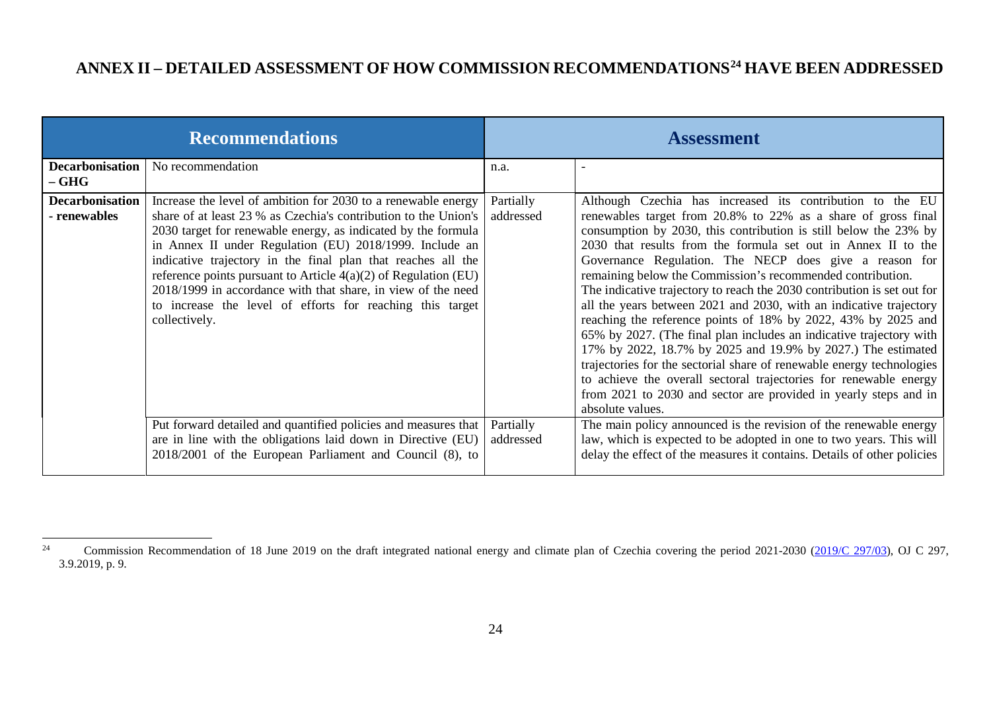# <span id="page-24-1"></span>**ANNEX II – DETAILED ASSESSMENT OF HOW COMMISSION RECOMMENDATIONS[24](#page-24-1) HAVE BEEN ADDRESSED**

| <b>Recommendations</b>                                                                                                                                                                                                                                                                                                                                                                                                                                                                                                                                                                                                                                                                                                                                                                  | <b>Assessment</b>                                                                                                                                                                                                                                                                                                                                                                                                                                                                                                                                                                                                                                                                                                                                                                                                                                                                                                                                                                                                                                                                                                                                                                                                                                                 |  |
|-----------------------------------------------------------------------------------------------------------------------------------------------------------------------------------------------------------------------------------------------------------------------------------------------------------------------------------------------------------------------------------------------------------------------------------------------------------------------------------------------------------------------------------------------------------------------------------------------------------------------------------------------------------------------------------------------------------------------------------------------------------------------------------------|-------------------------------------------------------------------------------------------------------------------------------------------------------------------------------------------------------------------------------------------------------------------------------------------------------------------------------------------------------------------------------------------------------------------------------------------------------------------------------------------------------------------------------------------------------------------------------------------------------------------------------------------------------------------------------------------------------------------------------------------------------------------------------------------------------------------------------------------------------------------------------------------------------------------------------------------------------------------------------------------------------------------------------------------------------------------------------------------------------------------------------------------------------------------------------------------------------------------------------------------------------------------|--|
| <b>Decarbonisation</b><br>No recommendation<br>$-$ GHG                                                                                                                                                                                                                                                                                                                                                                                                                                                                                                                                                                                                                                                                                                                                  | n.a.                                                                                                                                                                                                                                                                                                                                                                                                                                                                                                                                                                                                                                                                                                                                                                                                                                                                                                                                                                                                                                                                                                                                                                                                                                                              |  |
| <b>Decarbonisation</b><br>Increase the level of ambition for 2030 to a renewable energy<br>share of at least 23 % as Czechia's contribution to the Union's<br>- renewables<br>2030 target for renewable energy, as indicated by the formula<br>in Annex II under Regulation (EU) 2018/1999. Include an<br>indicative trajectory in the final plan that reaches all the<br>reference points pursuant to Article $4(a)(2)$ of Regulation (EU)<br>2018/1999 in accordance with that share, in view of the need<br>to increase the level of efforts for reaching this target<br>collectively.<br>Put forward detailed and quantified policies and measures that<br>are in line with the obligations laid down in Directive (EU)<br>2018/2001 of the European Parliament and Council (8), to | Partially<br>Although Czechia has increased its contribution to the EU<br>addressed<br>renewables target from 20.8% to 22% as a share of gross final<br>consumption by 2030, this contribution is still below the 23% by<br>2030 that results from the formula set out in Annex II to the<br>Governance Regulation. The NECP does give a reason for<br>remaining below the Commission's recommended contribution.<br>The indicative trajectory to reach the 2030 contribution is set out for<br>all the years between 2021 and 2030, with an indicative trajectory<br>reaching the reference points of 18% by 2022, 43% by 2025 and<br>65% by 2027. (The final plan includes an indicative trajectory with<br>17% by 2022, 18.7% by 2025 and 19.9% by 2027.) The estimated<br>trajectories for the sectorial share of renewable energy technologies<br>to achieve the overall sectoral trajectories for renewable energy<br>from 2021 to 2030 and sector are provided in yearly steps and in<br>absolute values.<br>The main policy announced is the revision of the renewable energy<br>Partially<br>law, which is expected to be adopted in one to two years. This will<br>addressed<br>delay the effect of the measures it contains. Details of other policies |  |

<span id="page-24-0"></span><sup>24</sup> Commission Recommendation of 18 June 2019 on the draft integrated national energy and climate plan of Czechia covering the period 2021-2030 [\(2019/C 297/03\)](https://eur-lex.europa.eu/legal-content/EN/TXT/PDF/?uri=CELEX:32019H0903(03)&from=EN), OJ C 297, 3.9.2019, p. 9.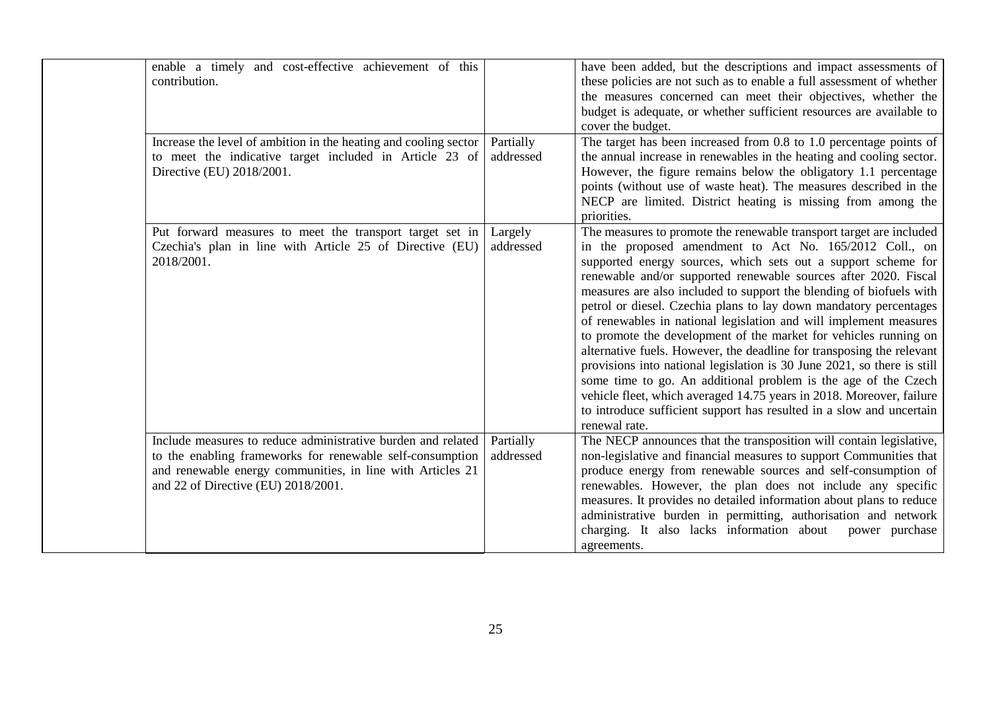| enable a timely and cost-effective achievement of this<br>contribution.                                                                                                                                                        |                        | have been added, but the descriptions and impact assessments of<br>these policies are not such as to enable a full assessment of whether<br>the measures concerned can meet their objectives, whether the<br>budget is adequate, or whether sufficient resources are available to<br>cover the budget.                                                                                                                                                                                                                                                                                                                                                                                                                                                                                                                                                                                                                                         |
|--------------------------------------------------------------------------------------------------------------------------------------------------------------------------------------------------------------------------------|------------------------|------------------------------------------------------------------------------------------------------------------------------------------------------------------------------------------------------------------------------------------------------------------------------------------------------------------------------------------------------------------------------------------------------------------------------------------------------------------------------------------------------------------------------------------------------------------------------------------------------------------------------------------------------------------------------------------------------------------------------------------------------------------------------------------------------------------------------------------------------------------------------------------------------------------------------------------------|
| Increase the level of ambition in the heating and cooling sector<br>to meet the indicative target included in Article 23 of<br>Directive (EU) 2018/2001.                                                                       | Partially<br>addressed | The target has been increased from 0.8 to 1.0 percentage points of<br>the annual increase in renewables in the heating and cooling sector.<br>However, the figure remains below the obligatory 1.1 percentage<br>points (without use of waste heat). The measures described in the<br>NECP are limited. District heating is missing from among the<br>priorities.                                                                                                                                                                                                                                                                                                                                                                                                                                                                                                                                                                              |
| Put forward measures to meet the transport target set in<br>Czechia's plan in line with Article 25 of Directive (EU)<br>2018/2001.                                                                                             | Largely<br>addressed   | The measures to promote the renewable transport target are included<br>in the proposed amendment to Act No. 165/2012 Coll., on<br>supported energy sources, which sets out a support scheme for<br>renewable and/or supported renewable sources after 2020. Fiscal<br>measures are also included to support the blending of biofuels with<br>petrol or diesel. Czechia plans to lay down mandatory percentages<br>of renewables in national legislation and will implement measures<br>to promote the development of the market for vehicles running on<br>alternative fuels. However, the deadline for transposing the relevant<br>provisions into national legislation is 30 June 2021, so there is still<br>some time to go. An additional problem is the age of the Czech<br>vehicle fleet, which averaged 14.75 years in 2018. Moreover, failure<br>to introduce sufficient support has resulted in a slow and uncertain<br>renewal rate. |
| Include measures to reduce administrative burden and related<br>to the enabling frameworks for renewable self-consumption<br>and renewable energy communities, in line with Articles 21<br>and 22 of Directive (EU) 2018/2001. | Partially<br>addressed | The NECP announces that the transposition will contain legislative,<br>non-legislative and financial measures to support Communities that<br>produce energy from renewable sources and self-consumption of<br>renewables. However, the plan does not include any specific<br>measures. It provides no detailed information about plans to reduce<br>administrative burden in permitting, authorisation and network<br>charging. It also lacks information about<br>power purchase<br>agreements.                                                                                                                                                                                                                                                                                                                                                                                                                                               |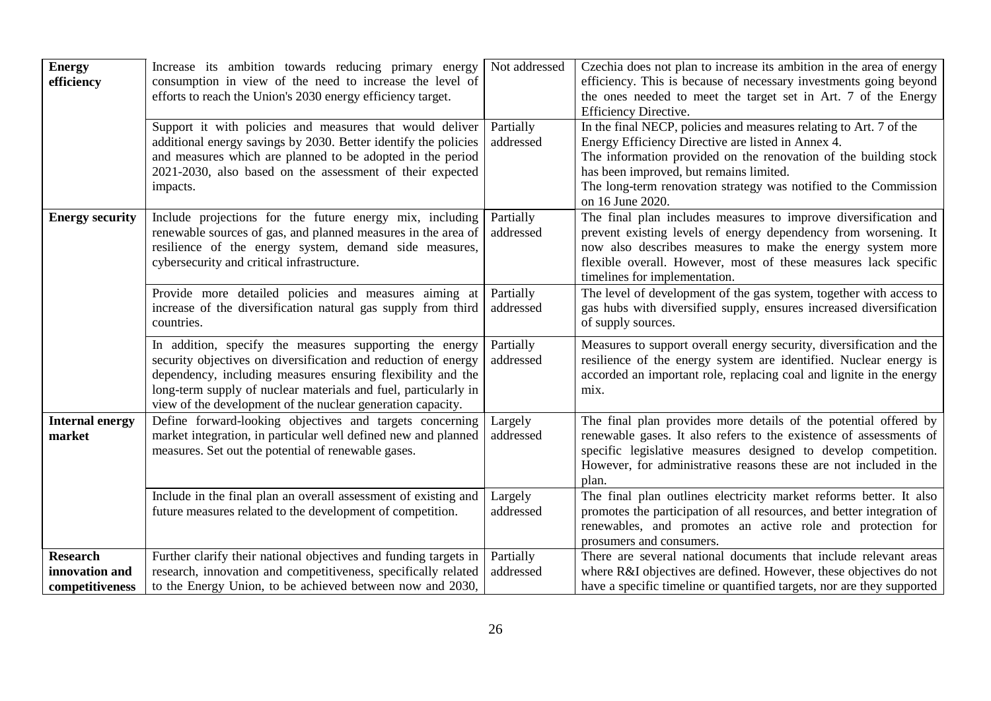| <b>Energy</b><br>efficiency                          | Increase its ambition towards reducing primary energy<br>consumption in view of the need to increase the level of<br>efforts to reach the Union's 2030 energy efficiency target.                                                                                                                                           | Not addressed          | Czechia does not plan to increase its ambition in the area of energy<br>efficiency. This is because of necessary investments going beyond<br>the ones needed to meet the target set in Art. 7 of the Energy<br>Efficiency Directive.                                                                                            |
|------------------------------------------------------|----------------------------------------------------------------------------------------------------------------------------------------------------------------------------------------------------------------------------------------------------------------------------------------------------------------------------|------------------------|---------------------------------------------------------------------------------------------------------------------------------------------------------------------------------------------------------------------------------------------------------------------------------------------------------------------------------|
|                                                      | Support it with policies and measures that would deliver<br>additional energy savings by 2030. Better identify the policies<br>and measures which are planned to be adopted in the period<br>2021-2030, also based on the assessment of their expected<br>impacts.                                                         | Partially<br>addressed | In the final NECP, policies and measures relating to Art. 7 of the<br>Energy Efficiency Directive are listed in Annex 4.<br>The information provided on the renovation of the building stock<br>has been improved, but remains limited.<br>The long-term renovation strategy was notified to the Commission<br>on 16 June 2020. |
| <b>Energy security</b>                               | Include projections for the future energy mix, including<br>renewable sources of gas, and planned measures in the area of<br>resilience of the energy system, demand side measures,<br>cybersecurity and critical infrastructure.                                                                                          | Partially<br>addressed | The final plan includes measures to improve diversification and<br>prevent existing levels of energy dependency from worsening. It<br>now also describes measures to make the energy system more<br>flexible overall. However, most of these measures lack specific<br>timelines for implementation.                            |
|                                                      | Provide more detailed policies and measures aiming at<br>increase of the diversification natural gas supply from third<br>countries.                                                                                                                                                                                       | Partially<br>addressed | The level of development of the gas system, together with access to<br>gas hubs with diversified supply, ensures increased diversification<br>of supply sources.                                                                                                                                                                |
|                                                      | In addition, specify the measures supporting the energy<br>security objectives on diversification and reduction of energy<br>dependency, including measures ensuring flexibility and the<br>long-term supply of nuclear materials and fuel, particularly in<br>view of the development of the nuclear generation capacity. | Partially<br>addressed | Measures to support overall energy security, diversification and the<br>resilience of the energy system are identified. Nuclear energy is<br>accorded an important role, replacing coal and lignite in the energy<br>mix.                                                                                                       |
| <b>Internal energy</b><br>market                     | Define forward-looking objectives and targets concerning<br>market integration, in particular well defined new and planned<br>measures. Set out the potential of renewable gases.                                                                                                                                          | Largely<br>addressed   | The final plan provides more details of the potential offered by<br>renewable gases. It also refers to the existence of assessments of<br>specific legislative measures designed to develop competition.<br>However, for administrative reasons these are not included in the<br>plan.                                          |
|                                                      | Include in the final plan an overall assessment of existing and<br>future measures related to the development of competition.                                                                                                                                                                                              | Largely<br>addressed   | The final plan outlines electricity market reforms better. It also<br>promotes the participation of all resources, and better integration of<br>renewables, and promotes an active role and protection for<br>prosumers and consumers.                                                                                          |
| <b>Research</b><br>innovation and<br>competitiveness | Further clarify their national objectives and funding targets in<br>research, innovation and competitiveness, specifically related<br>to the Energy Union, to be achieved between now and 2030,                                                                                                                            | Partially<br>addressed | There are several national documents that include relevant areas<br>where R&I objectives are defined. However, these objectives do not<br>have a specific timeline or quantified targets, nor are they supported                                                                                                                |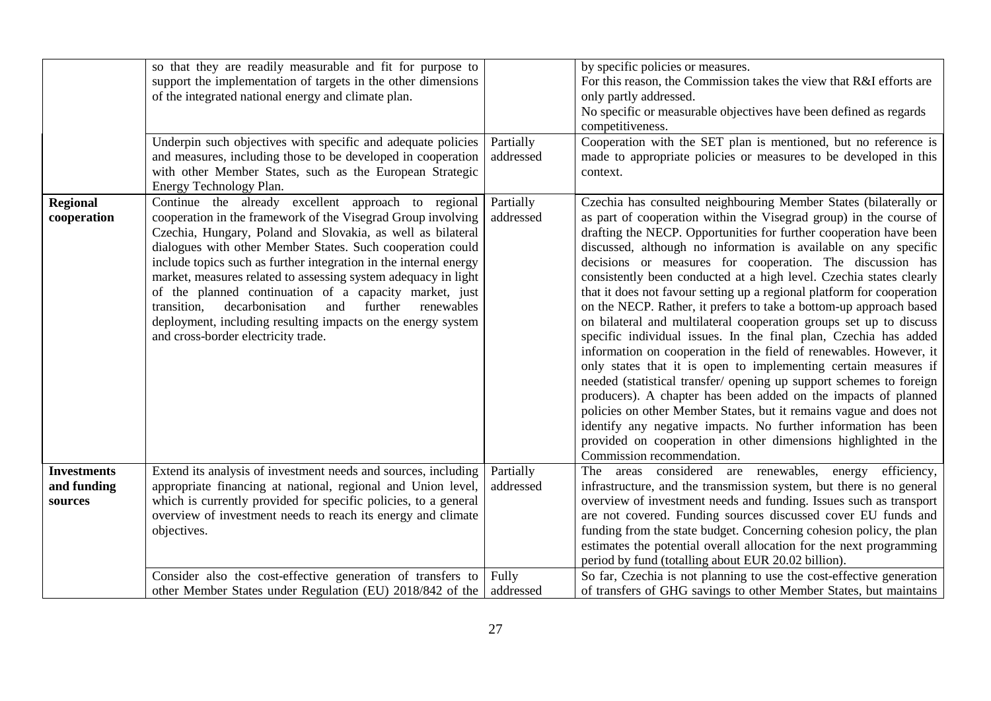|                                              | so that they are readily measurable and fit for purpose to<br>support the implementation of targets in the other dimensions<br>of the integrated national energy and climate plan.                                                                                                                                                                                                                                                                                                                                                                                                                                         |                        | by specific policies or measures.<br>For this reason, the Commission takes the view that R&I efforts are<br>only partly addressed.<br>No specific or measurable objectives have been defined as regards<br>competitiveness.                                                                                                                                                                                                                                                                                                                                                                                                                                                                                                                                                                                                                                                                                                                                                                                                                                                                                                                                                                                                             |
|----------------------------------------------|----------------------------------------------------------------------------------------------------------------------------------------------------------------------------------------------------------------------------------------------------------------------------------------------------------------------------------------------------------------------------------------------------------------------------------------------------------------------------------------------------------------------------------------------------------------------------------------------------------------------------|------------------------|-----------------------------------------------------------------------------------------------------------------------------------------------------------------------------------------------------------------------------------------------------------------------------------------------------------------------------------------------------------------------------------------------------------------------------------------------------------------------------------------------------------------------------------------------------------------------------------------------------------------------------------------------------------------------------------------------------------------------------------------------------------------------------------------------------------------------------------------------------------------------------------------------------------------------------------------------------------------------------------------------------------------------------------------------------------------------------------------------------------------------------------------------------------------------------------------------------------------------------------------|
|                                              | Underpin such objectives with specific and adequate policies<br>and measures, including those to be developed in cooperation<br>with other Member States, such as the European Strategic<br>Energy Technology Plan.                                                                                                                                                                                                                                                                                                                                                                                                        | Partially<br>addressed | Cooperation with the SET plan is mentioned, but no reference is<br>made to appropriate policies or measures to be developed in this<br>context.                                                                                                                                                                                                                                                                                                                                                                                                                                                                                                                                                                                                                                                                                                                                                                                                                                                                                                                                                                                                                                                                                         |
| <b>Regional</b><br>cooperation               | Continue the already excellent approach to regional<br>cooperation in the framework of the Visegrad Group involving<br>Czechia, Hungary, Poland and Slovakia, as well as bilateral<br>dialogues with other Member States. Such cooperation could<br>include topics such as further integration in the internal energy<br>market, measures related to assessing system adequacy in light<br>of the planned continuation of a capacity market, just<br>decarbonisation<br>further<br>transition,<br>and<br>renewables<br>deployment, including resulting impacts on the energy system<br>and cross-border electricity trade. | Partially<br>addressed | Czechia has consulted neighbouring Member States (bilaterally or<br>as part of cooperation within the Visegrad group) in the course of<br>drafting the NECP. Opportunities for further cooperation have been<br>discussed, although no information is available on any specific<br>decisions or measures for cooperation. The discussion has<br>consistently been conducted at a high level. Czechia states clearly<br>that it does not favour setting up a regional platform for cooperation<br>on the NECP. Rather, it prefers to take a bottom-up approach based<br>on bilateral and multilateral cooperation groups set up to discuss<br>specific individual issues. In the final plan, Czechia has added<br>information on cooperation in the field of renewables. However, it<br>only states that it is open to implementing certain measures if<br>needed (statistical transfer/ opening up support schemes to foreign<br>producers). A chapter has been added on the impacts of planned<br>policies on other Member States, but it remains vague and does not<br>identify any negative impacts. No further information has been<br>provided on cooperation in other dimensions highlighted in the<br>Commission recommendation. |
| <b>Investments</b><br>and funding<br>sources | Extend its analysis of investment needs and sources, including<br>appropriate financing at national, regional and Union level,<br>which is currently provided for specific policies, to a general<br>overview of investment needs to reach its energy and climate<br>objectives.                                                                                                                                                                                                                                                                                                                                           | Partially<br>addressed | The areas considered are renewables, energy<br>efficiency,<br>infrastructure, and the transmission system, but there is no general<br>overview of investment needs and funding. Issues such as transport<br>are not covered. Funding sources discussed cover EU funds and<br>funding from the state budget. Concerning cohesion policy, the plan<br>estimates the potential overall allocation for the next programming<br>period by fund (totalling about EUR 20.02 billion)                                                                                                                                                                                                                                                                                                                                                                                                                                                                                                                                                                                                                                                                                                                                                           |
|                                              | Consider also the cost-effective generation of transfers to<br>other Member States under Regulation (EU) 2018/842 of the                                                                                                                                                                                                                                                                                                                                                                                                                                                                                                   | Fully<br>addressed     | So far, Czechia is not planning to use the cost-effective generation<br>of transfers of GHG savings to other Member States, but maintains                                                                                                                                                                                                                                                                                                                                                                                                                                                                                                                                                                                                                                                                                                                                                                                                                                                                                                                                                                                                                                                                                               |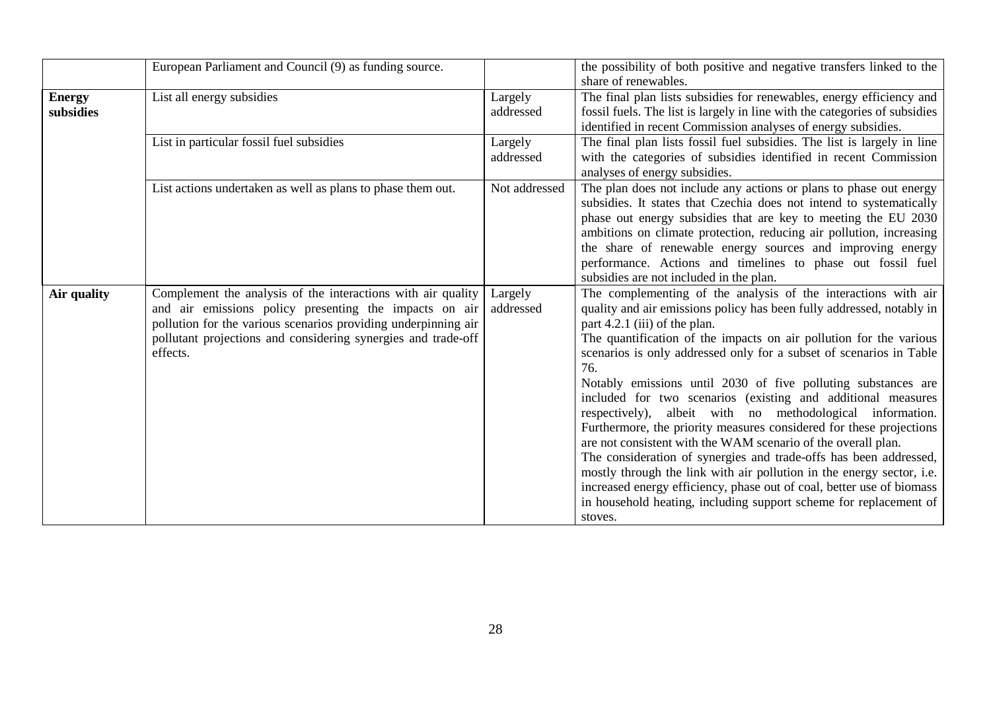|                            | European Parliament and Council (9) as funding source.                                                                                                                                                                                                                |                      | the possibility of both positive and negative transfers linked to the<br>share of renewables.                                                                                                                                                                                                                                                                                                                                                                                                                                                                                                                                                                                                                                                                                                                                                                                                                                                                             |
|----------------------------|-----------------------------------------------------------------------------------------------------------------------------------------------------------------------------------------------------------------------------------------------------------------------|----------------------|---------------------------------------------------------------------------------------------------------------------------------------------------------------------------------------------------------------------------------------------------------------------------------------------------------------------------------------------------------------------------------------------------------------------------------------------------------------------------------------------------------------------------------------------------------------------------------------------------------------------------------------------------------------------------------------------------------------------------------------------------------------------------------------------------------------------------------------------------------------------------------------------------------------------------------------------------------------------------|
| <b>Energy</b><br>subsidies | List all energy subsidies                                                                                                                                                                                                                                             | Largely<br>addressed | The final plan lists subsidies for renewables, energy efficiency and<br>fossil fuels. The list is largely in line with the categories of subsidies<br>identified in recent Commission analyses of energy subsidies.                                                                                                                                                                                                                                                                                                                                                                                                                                                                                                                                                                                                                                                                                                                                                       |
|                            | List in particular fossil fuel subsidies                                                                                                                                                                                                                              | Largely<br>addressed | The final plan lists fossil fuel subsidies. The list is largely in line<br>with the categories of subsidies identified in recent Commission<br>analyses of energy subsidies.                                                                                                                                                                                                                                                                                                                                                                                                                                                                                                                                                                                                                                                                                                                                                                                              |
|                            | List actions undertaken as well as plans to phase them out.                                                                                                                                                                                                           | Not addressed        | The plan does not include any actions or plans to phase out energy<br>subsidies. It states that Czechia does not intend to systematically<br>phase out energy subsidies that are key to meeting the EU 2030<br>ambitions on climate protection, reducing air pollution, increasing<br>the share of renewable energy sources and improving energy<br>performance. Actions and timelines to phase out fossil fuel<br>subsidies are not included in the plan.                                                                                                                                                                                                                                                                                                                                                                                                                                                                                                                |
| Air quality                | Complement the analysis of the interactions with air quality<br>and air emissions policy presenting the impacts on air<br>pollution for the various scenarios providing underpinning air<br>pollutant projections and considering synergies and trade-off<br>effects. | Largely<br>addressed | The complementing of the analysis of the interactions with air<br>quality and air emissions policy has been fully addressed, notably in<br>part 4.2.1 (iii) of the plan.<br>The quantification of the impacts on air pollution for the various<br>scenarios is only addressed only for a subset of scenarios in Table<br>76.<br>Notably emissions until 2030 of five polluting substances are<br>included for two scenarios (existing and additional measures<br>respectively), albeit with no methodological information.<br>Furthermore, the priority measures considered for these projections<br>are not consistent with the WAM scenario of the overall plan.<br>The consideration of synergies and trade-offs has been addressed,<br>mostly through the link with air pollution in the energy sector, i.e.<br>increased energy efficiency, phase out of coal, better use of biomass<br>in household heating, including support scheme for replacement of<br>stoves. |